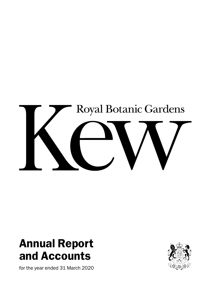

# Annual Report and Accounts

for the year ended 31 March 2020

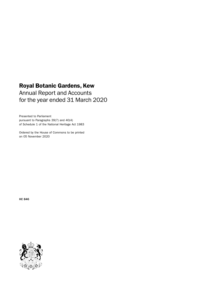# Annual Report and Accounts for the year ended 31 March 2020

Presented to Parliament pursuant to Paragraphs 39(7) and 40(4) of Schedule 1 of the National Heritage Act 1983

Ordered by the House of Commons to be printed on 05 November 2020

HC 846

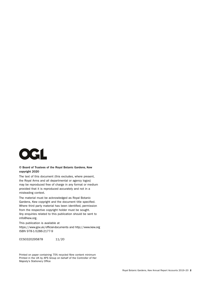

#### © Board of Trustees of the Royal Botanic Gardens, Kew copyright 2020

The text of this document (this excludes, where present, the Royal Arms and all departmental or agency logos) may be reproduced free of charge in any format or medium provided that it is reproduced accurately and not in a misleading context.

The material must be acknowledged as Royal Botanic Gardens, Kew copyright and the document title specified. Where third party material has been identified, permission from the respective copyright holder must be sought. Any enquiries related to this publication should be sent to info@kew.org.

This publication is available at https://www.gov.uk/official-documents and http://www.kew.org ISBN 978-1-5286-2177-9

CCS0320295878 11/20

Printed on paper containing 75% recycled fibre content minimum Printed in the UK by APS Group on behalf of the Controller of Her Majesty's Stationery Office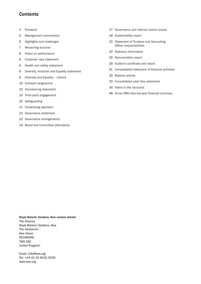# **Contents**

- [Foreword](#page-5-0)
- [Management commentary](#page-6-0)
- [Highlights and challenges](#page-6-0)
- [Measuring success](#page-8-0)
- [Notes on performance](#page-9-0)
- [Customer care statement](#page-10-0)
- [Health and safety statement](#page-10-0)
- [Diversity, Inclusion and Equality statement](#page-10-0)
- [Diversity and Equality visitors](#page-10-0)
- [Outreach programme](#page-11-0)
- [Volunteering statement](#page-11-0)
- [Third party engagement](#page-11-0)
- [Safeguarding](#page-11-0)
- [Fundraising approach](#page-12-0)
- [Governance statement](#page-13-0)
- [Governance arrangements](#page-13-0)
- [Board and Committee attendance](#page-15-0)
- [Governance and internal control issues](#page-18-0)
- [Sustainability report](#page-19-0)
- [Statement of Trustees and Accounting](#page-23-0) [Officer responsibilities](#page-23-0)
- [Statutory information](#page-23-0)
- [Remuneration report](#page-26-0)
- [Auditor's certificate and report](#page-30-0)
- [Consolidated statement of financial activities](#page-32-0)
- [Balance sheets](#page-33-0)
- [Consolidated cash flow statement](#page-34-0)
- [Notes to the accounts](#page-35-0)
- [Annex RBG Kew five-year financial summary](#page-49-0)

Royal Botanic Gardens, Kew contact details The Director Royal Botanic Gardens, Kew The Herbarium Kew Green RICHMOND TW9 3AE United Kingdom

Email: info@kew.org Tel: +44 (0) 20 8332 5000 www.kew.org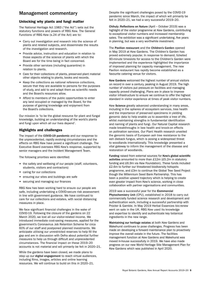# <span id="page-6-0"></span>Management commentary

# Unlocking why plants and fungi matter

The National Heritage Act 1983 ("the Act") sets out the statutory functions and powers of RBG Kew. The General Functions of RBG Kew (s.24 of the Act) are to:

- Carry out investigation and research into the science of plants and related subjects, and disseminate the results of the investigation and research.
- Provide advice, instruction and education in relation to those aspects of the science of plants with which the Board are for the time being in fact concerned.
- Provide other services (including quarantine) in relation to plants.
- Care for their collections of plants, preserved plant material other objects relating to plants, books and records.
- Keep the collections as national reference collections, secure that they are available to persons for the purposes of study, and add to and adapt them as scientific needs and the Board's resources allow.
- Afford to members of the public opportunities to enter any land occupied or managed by the Board, for the purpose of gaining knowledge and enjoyment from the Board's collections.

Our mission is 'to be the global resource for plant and fungal knowledge, building an understanding of the world's plants and fungi upon which all our lives depend'.

# Highlights and challenges

The impact of the COVID-19 pandemic and our response to the unprecedented, rapidly evolving circumstances and the effects on RBG Kew have posed a significant challenge. The Executive Board oversees RBG Kew's response, supported by senior managers and the Incident Management Team.

The following priorities were identified:

- the safety and wellbeing of our people (staff, volunteers, students, visitors and contractors)
- caring for our collections
- ensuring our sites and buildings are safe
- securing and managing our finances

RBG Kew has been working hard to ensure our people are safe, including undertaking a COVID-secure risk assessment in line with government guidance. We have continued to care for our collections and estates, with social distancing measures in place.

We face significant financial challenges in the wake of COVID-19. Following the closure of the gardens on 22 March 2020, we lost all our visitor-related income. We introduced immediate cost-saving measures, applied for the government's Coronavirus Job Retention Scheme for circa 60% of our staff and postponed planned investments. We anticipate utilising our unrestricted reserves to help fill the gap and are in discussion with Defra about potential further measures to help us through difficult and unprecedented circumstances. The financial impact on these 2019–20 accounts is not material and will primarily be felt in 2020–21.

While the gardens have been closed, we made plans to step up our digital engagement to reach virtual audiences, including films, images, articles and online learning resources. We will continue to build on this in 2020–21.

Despite the significant challenges posed by the COVID-19 pandemic since March, the impact of which will primarily be felt in 2020–21, we had a very successful 2019–20.

Chihuly: Reflections on Nature (April – October 2019) was a highlight of the visitor programme at Kew Gardens, contributing to exceptional visitor numbers and increased membership sales. The exhibition was a significant undertaking, five years in planning, but was a very worthwhile investment.

The Pavilion restaurant and the Children's Garden opened in May 2019 at Kew Gardens. The Children's Garden has proved extremely popular. In response to demand, ticketed 90-minute timeslots for access to the Children's Garden were implemented and the experience highlighted the importance of improved planning for capacity management. The new Pavilion restaurant has rapidly become established as a favourite catering venue for visitors.

Kew Gardens welcomed the highest number of annual visitors on record in over a century, peaking in August 2019. The high number of visitors put pressure on facilities and managing capacity proved challenging. Plans are in place to improve visitor infrastructure to ensure we continue to offer the highest standard in visitor experience at times of peak visitor numbers.

Kew Science greatly advanced understanding in many areas, including in the spheres of ecosystem services, tree health and the importance of preserved specimens in yielding genomic data to help enable us to assemble a tree of life, whilst maintaining strengths in fundamental identification and naming of plants and fungi. Our Natural Capital research made breakthroughs in bee health and knock-on effects on pollination services. Our Plant Health research unveiled the genomic basis of European ash tree resistance to the ash dieback fungus, which is posing a widespread threat to woodlands internationally. This knowledge presented a vital gateway to inform the management of the disease and restoration of woodlands.

Funding raised from external sources for Kew's global scientific activities amounted to more than £12m (£5.2m in statutory funding and £6.9m via Kew Foundation). These funds included £2.6m to further our threatened biodiversity hotspots programme, and £3m to continue the Global Tree Seed Project though the Millennium Seed Bank Partnership. This has been a positive upward trajectory which is helping to create even greater impact from Kew's science, working in close collaboration with partner organisations and communities.

2019 was a successful year for the Commercial Phytochemistry Unit (CPU), established in 2018 to carry out commercially funded science research and development and authentication work, including a successful partnership with Procter & Gamble. In May 2019 Herbal Essences bio:renew went on sale in the UK. RBG Kew used its knowledge and expertise to identify and authenticate key botanical ingredients in the new range.

Maintaining our heritage estates at both Kew Gardens and Wakehurst continues to pose challenges. Progress has been made on developing a forward maintenance plan to proactively improve the overall estate in the future. The facilities management function at Kew Gardens and Wakehurst was moved in-house successfully in 2019. We have also made progress on our new World Heritage Site Management Plan for Kew Gardens which was published in April 2020.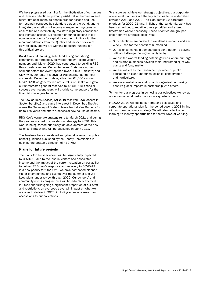We have progressed planning for the digitisation of our unique and diverse collections, primarily eight million herbarium and fungarium specimens, to enable broader access and use for research purposes by scientists across the world, and to integrate the existing collections management systems to ensure future sustainability, facilitate regulatory compliance and increase access. Digitisation of our collections is our number one priority for capital investment, in line with the recommendations from the Quality and Impact Review of Kew Science, and we are working to secure funding for this critical project.

Good financial planning, solid fundraising and strong commercial performance, delivered through record visitor numbers until March 2020, has contributed to building RBG Kew's cash reserves. Our winter event Christmas at Kew sold out before the event opened (over 300,000 tickets) and Glow Wild, our lantern festival at Wakehurst, had its most successful December to date, attracting 61,000 visitors. In 2019–20 we generated a net surplus of £0.8m and grew our unrestricted general reserves to £6.5m. Our financial success over recent years will provide some support for the financial challenges to come.

The Kew Gardens (Leases) Act 2019 received Royal Assent in September 2019 and came into effect in December. The Act allows the Secretary of State to lease land at Kew Gardens for up to 150 years and offers a beneficial new source of income.

RBG Kew's corporate strategy runs to March 2021 and during the year we started to consider our strategy to 2030. This work is being carried out alongside development of the new Science Strategy and will be published in early 2021.

The Trustees have considered and given due regard to public benefit guidance published by the Charity Commission in defining the strategic direction of RBG Kew.

#### Plans for future periods

The plans for the year ahead will be significantly impacted by COVID-19 due to the loss in visitors and associated income and the impact of the current situation on our ability to deliver. RBG Kew's response and recovery to COVID-19 is a new priority for 2020–21. We have postponed planned visitor programming and events over the summer and will keep plans under review through 2020. Our schools' and community access programmes will be adversely affected in 2020 and furloughing a significant proportion of our staff and restrictions on overseas travel will impact on what we are able to deliver in 2020, including science research and accessions to our collections.

To ensure we achieve our strategic objectives, our corporate operational plan sets out the key activities to be undertaken between 2019 and 2022. The plan details 22 corporate priorities for 2020–21 and, in light of the pandemic, work has been carried out to redefine these priorities and extend timeframes where necessary. These priorities are grouped under our five strategic objectives:

- Our collections are curated to excellent standards and are widely used for the benefit of humankind.
- Our science makes a demonstrable contribution to solving critical challenges facing humanity today.
- We are the world's leading botanic gardens where our large and diverse audiences develop their understanding of why plants and fungi matter.
- We are valued as the pre-eminent provider of public education on plant and fungal science, conservation and horticulture.
- We are a sustainable and dynamic organisation, making positive global impacts in partnership with others.

To monitor our progress in achieving our objectives we review our organisational performance on a quarterly basis.

In 2020–21 we will define our strategic objectives and corporate operational plan for the period beyond 2021 in line with our new corporate strategy. We will also reflect on our learning to identify opportunities for better ways of working.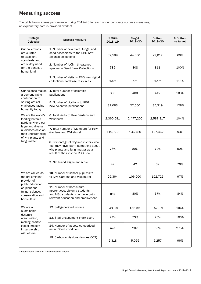# <span id="page-8-0"></span>Measuring success

The table below shows performance during 2019–20 for each of our corporate success measures; an explanatory note is provided overleaf.

| <b>Strategic</b><br>Objective                                                                      | <b>Success Measure</b>                                                                                                                                 | <b>Outturn</b><br>2018-19 | <b>Target</b><br>2019-20 | Outturn<br>2019-20 | % Outturn<br>vs target |
|----------------------------------------------------------------------------------------------------|--------------------------------------------------------------------------------------------------------------------------------------------------------|---------------------------|--------------------------|--------------------|------------------------|
| Our collections<br>are curated<br>to excellent<br>standards and                                    | 1. Number of new plant, fungal and<br>seed accessions to the RBG Kew<br>Science collections                                                            | 32,589                    | 44,000                   | 29,017             | 66%                    |
| are widely used<br>for the benefit of<br>humankind                                                 | 2. Number of IUCN+ threatened<br>species in Seed Bank Collections                                                                                      | 786                       | 808                      | 811                | 100%                   |
|                                                                                                    | 3. Number of visits to RBG Kew digital<br>collections database resources                                                                               | 4.5m                      | 4m                       | 4.4m               | 111%                   |
| Our science makes<br>a demonstrable<br>contribution to                                             | 4. Total number of scientific<br>publications                                                                                                          | 306                       | 400                      | 412                | 103%                   |
| solving critical<br>challenges facing<br>humanity today                                            | 5. Number of citations to RBG<br>Kew scientific publications                                                                                           | 31,083                    | 27,500                   | 35,319             | 128%                   |
| We are the world's<br>leading botanic<br>gardens where our                                         | 6. Total visits to Kew Gardens and<br>Wakehurst                                                                                                        | 2,360,681                 | 2,477,200                | 2,587,317          | 104%                   |
| large and diverse<br>audiences develop<br>their understanding<br>of why plants and<br>fungi matter | 7. Total number of Members for Kew<br>Gardens and Wakehurst                                                                                            | 119,770                   | 136,780                  | 127,462            | 93%                    |
|                                                                                                    | 8. Percentage of daytime visitors who<br>feel they have learnt something about<br>why plants and fungi matter as a<br>result of their visit to RBG Kew | 78%                       | 80%                      | 79%                | 99%                    |
|                                                                                                    | 9. Net brand alignment score                                                                                                                           | 42                        | 42                       | 32                 | 76%                    |
| We are valued as<br>the pre-eminent<br>provider of                                                 | 10. Number of school pupil visits<br>to Kew Gardens and Wakehurst                                                                                      | 99,364                    | 106,000                  | 102,725            | 97%                    |
| public education<br>on plant and<br>fungal science,<br>conservation and<br>horticulture            | 11. Number of horticulture<br>apprentices, diploma students<br>and MSc students who move onto<br>relevant education and employment                     | n/a                       | 80%                      | 67%                | 84%                    |
| We are a<br>sustainable                                                                            | 12. Self-generated income                                                                                                                              | £48.8m                    | £55.3m                   | £57.3m             | 104%                   |
| dynamic<br>organisation,                                                                           | 13. Staff engagement index score                                                                                                                       | 74%                       | 73%                      | 75%                | 103%                   |
| making positive<br>global impacts<br>in partnership<br>with others                                 | 14. Number of assets categorised<br>as in 'Good' condition                                                                                             | n/a                       | 20%                      | 55%                | 275%                   |
|                                                                                                    | 15. Carbon emissions (tonnes CO2)                                                                                                                      | 5,318                     | 5,055                    | 5,257              | 96%                    |

† International Union for Conservation of Nature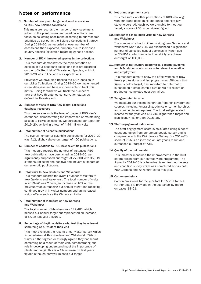# <span id="page-9-0"></span>Notes on performance

#### 1. Number of new plant, fungal and seed accessions to RBG Kew Science collections

This measure records the number of new specimens added to the plant, fungal and seed collections. We focus on collecting specimens according to our research priorities as set out in the Science Collections Strategy. During 2019–20, we recorded a lower number of accessions than expected, primarily due to increased country-specific legislation regarding genetic access.

#### 2. Number of IUCN threatened species in the collections

This measure demonstrates the representation of species in our seedbank collections that are recorded on the IUCN Red List of Threatened Species, which in 2019–20 was in line with our expectations.

Previously, we have also tracked the IUCN species in our Living Collections. During 2019–20 we implemented a new database and have not been able to track this metric. Going forward we will track the number of taxa that have threatened conservation status as defined by Threatsearch.

#### 3. Number of visits to RBG Kew digital collections database resources

This measure records the level of usage of RBG Kew's databases, demonstrating the importance of maintaining access to Kew's collections. We surpassed our target for 2019–20, achieving a total of 4.44 million visits.

#### 4. Total number of scientific publications

The overall number of scientific publications for 2019–20 was 412, slightly above our target of 400 publications.

#### 5. Number of citations to RBG Kew scientific publications

This measure records the number of instances RBG Kew publications have been cited. In 2019–20, we significantly surpassed our target of 27,500 with 35,319 citations, reflecting the positive and influential impact of our scientific publications.

#### 6. Total visits to Kew Gardens and Wakehurst

This measure records the overall number of visitors to Kew Gardens and Wakehurst. The total number of visits in 2019–20 was 2.59m, an increase of 10% on the previous year, surpassing our annual target and reflecting continued growth in visitor numbers and an increased visitor offer – such as the Chihuly exhibition.

#### 7. Total number of Members of Kew Gardens and Wakehurst

The total number of Members was 127,462, which missed our annual target but represented an increase of 6% on last year's figures.

#### 8. Percentage of daytime visitors who feel they have learnt something as a result of their visit

This metric reflects the results of our visitor survey, which is undertaken at Kew Gardens and Wakehurst. 79% of visitors either agreed or strongly agreed they had learnt something as a result of their visit, demonstrating our role in developing understanding of the importance of plants and fungi. This is a 1% increase on last year's figures although narrowly misses our target.

#### 9. Net brand alignment score

This measures whether perceptions of RBG Kew align with our brand positioning and ethos amongst key stakeholders. Although we were unable to meet our target, a score of 32 is considered 'good'.

#### 10. Number of school pupil visits to Kew Gardens and Wakehurst

The number of school children visiting Kew Gardens and Wakehurst was 102,725. We experienced a significant number of cancelled school bookings in March due to COVID-19, which impacted our ability to achieve our target of 106,000.

#### 11. Number of horticulture apprentices, diploma students and MSc students who move onto relevant education and employment

This measure aims to show the effectiveness of RBG Kew's professional training programmes. Although this figure is below target, it is important to note that it is based on a small sample size as we are reliant on graduates' completed questionnaires.

#### 12. Self-generated income

We measure our income generated from non-government sources including fundraising, admissions, memberships and commercial enterprises. The total self-generated income for the year was £57.3m, higher than target and significantly higher than 2018–19.

#### 13. Staff engagement index score

The staff engagement score is calculated using a set of questions taken from our annual people survey and is comparable with the Civil Service Survey. Our 2019–20 score of 75% is an increase on last year's result and surpasses our target of 73%.

#### 14. Quality of the built estate

This indicator measures the improvements in the built estate arising from our estates work programme. The figure for 2019–20 is a baseline, taken from our assets and condition survey which was completed across both Kew Gardens and Wakehurst sites this year.

#### 15. Carbon emissions

Carbon emissions for the year totalled 5,257 tonnes. Further detail is provided in the sustainability report on pages 18–21.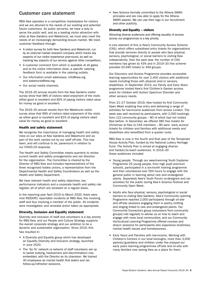# <span id="page-10-0"></span>Customer care statement

RBG Kew operates in a competitive marketplace for visitors and we are attuned to the needs of our existing and potential future customers. As public servants, we have a duty to serve the public well, and as a leading visitor attraction with sites at Kew Gardens and Wakehurst, we must also meet the needs of an increasingly demanding leisure market. We track customer feedback through:

- A visitor survey for both Kew Gardens and Wakehurst, run by an external market research company which tracks key aspects of our visitor experience year-round, as well as tracking key aspects of our service against other competitors.
- A customer comment form which is available at all gates and at the visitor information desk; a specific catering feedback form is available in the catering outlets.
- Our information email addresses, info@kew.org and wakehurst@kew.org.
- Our social media channels.

The 2019–20 annual results from the Kew Gardens visitor survey show that 98% of visitors rated enjoyment of the visits either good or excellent and 82% of paying visitors rated value for money as good or excellent.

The 2019–20 annual results from the Wakehurst visitor survey show that 99% of visitors rated enjoyment of the visits as either good or excellent and 81% of paying visitors rated value for money as good or excellent.

#### Health and safety statement

We recognise the importance of managing health and safety risks on our sites at Kew Gardens and Wakehurst and as part of the work carried out by our staff off-site. This has been, and will continue to be, paramount in relation to our COVID-19 response.

The Health and Safety Committee meets quarterly to review current health and safety arrangements and set direction for the organisation. The Committee is chaired by the Director of RBG Kew and includes representatives of the three recognised trades unions, a representative from the Departmental Health and Safety Coordinators as well as the Health and Safety Department.

We have relevant health and safety objectives, key performance indicators and a corporate health and safety risk register, all of which are reviewed on a regular basis.

In the reporting year April 2019 to March 2020, there were nine RIDDOR1 reportable incidents at RBG Kew, five involving staff and four involving a member of the public. All incidents were investigated, and remedial action taken as appropriate.

#### Diversity, Inclusion and Equality statement

Diversity and inclusion of staff and volunteers is a key priority for RBG Kew, and our People and Culture Strategy supports the overall corporate strategy and our ambition to be a dynamic and sustainable organisation. Since 2019, this has resulted in:

- A Diversity and Equality group which has developed an Equality Diversity and Inclusion strategy, launched in June 2020.
- The 'Go To' network (a network of staff volunteers set up to tackle bullying, harassment and discrimination) now embedded, with the Director as its champion. We trained 40 employees as mental health first aiders and ran follow-up/refresher sessions.

• Kew Science formally committed to the Athena SWAN principles and are now able to apply for the Athena SWAN awards. We can use their logo in our recruitment and other publicity.

#### Diversity and Equality – visitors

Attracting diverse audiences and offering equality of access across our programmes is a key priority.

A core element of this is Kew's Community Access Scheme (CAS), which offers subsidised entry tickets for organisations that provide services directly to people who face physical, sensory, psychological, or social barriers to visiting Kew independently. Over the past year, the number of CAS members has grown by 43% and in 2019–20 this scheme provided 20,940 tickets to 349 groups.

Our Discovery and Access Programme provides accessible learning opportunities for over 2,400 visitors with additional needs including those with physical and/or sensory disabilities. In September 2019, our Family and Early Years programme hosted Kew's first Children's Garden access event for children with Autism Spectrum Disorder and other sensory needs.

From 21–27 October 2019, Kew hosted its first Community Open Week enabling free entry and delivering a range of activities for low-income audiences from across London. The week was well received by participants, with 2,000 bookings from 122 community groups – 80 of which had not visited Kew before. In December, we offered 380 free tickets for Christmas at Kew to CAS members – 80 were 'early access' tickets for children and families with additional needs and disabilities who benefitted from a quieter route.

RBG Kew is now in the fourth and final year of the Temperate House Activity Plan, funded by the National Lottery Heritage Fund. The Activity Plan is aimed at engaging diverse and hard(er)-to-reach audiences. In 2019–20 these audiences included:

- Young people. Through our award-winning Youth Explainer Programme 25 young people, from high pupil premium schools, participated in a six-month training programme and then volunteered over 550 hours to engage with the general public in learning about rare and endangered plants. Separately Kew's Youth Forum co-designed and ran activities for the public during Kew's Science Festival and Community Open Week.
- Adults who face physical, sensory, psychological or social barriers to visiting Kew Gardens. Kew's Community Learning Programme reached 2,000 participants through on-site and off-site sessions engaging them in poetry, knitting and singing linked to rare and endangered plants. Our Community Connectors group (volunteers from community groups) met regularly to advise us on how to reach and engage with more local communities, and our Community Horticultural Learning Programme offered courses and drop-in sessions for participants who experience loneliness, mental health issues and homelessness.
- Early Years and Families with low-income. Working with Children's Centres in our local boroughs, more than 3,000 parents/guardians and children under five enjoyed our early years learning programmes off-site and on-site with many families now seeing Kew as a place for them.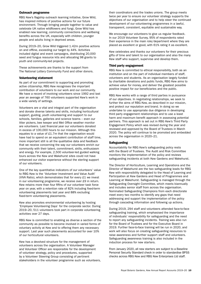#### <span id="page-11-0"></span>Outreach programme

RBG Kew's flagship outreach learning initiative, Grow Wild, has inspired millions of positive actions for our future environment. Through bringing people together to value and celebrate UK native wildflowers and fungi, Grow Wild has enabled new learning, community connections and wellbeing benefits across the UK, especially with children, younger people and adults living in deprived areas.

During 2019–20, Grow Wild triggered 1.42m positive actions on and offline, exceeding our target by 44%. Activities included digital and event campaigns, distributing 20,000 seed and fungus resource kits and allocating 98 grants to youth and community-led projects.

These achievements are thanks to the support from The National Lottery Community Fund and other donors.

#### Volunteering statement

As part of our commitment to supporting and promoting active citizenship, RBG Kew recognises the important contribution of volunteers to our work and our community. We have a record of involving volunteers since 1992 and last year an average of 760 volunteers supported Kew's work in a wide variety of settings.

Volunteers are a vital and integral part of the organisation and donate diverse talents and skills, including horticultural support, guiding, youth volunteering and support to our schools, families, galleries and science teams – even our litter pickers, bee keeper and Met Office weather monitor are volunteers. Last financial year our volunteers donated in excess of 100,000 hours to our mission. Although this equates to a value of £1.7m that the organisation would have had to spend on an equivalent contribution of staff time, more important still is all the qualitative data and feedback that we receive concerning the way our volunteers enrich our community with their talent, commitment, skills, enthusiasm and energy. For example, 2,500 volunteer-led guided walking tours across the Kew and Wakehurst sites could not have enhanced our visitor experience without the sterling support of our volunteers.

One of the key quantitative indicators of our volunteers' value to RBG Kew is the 'Volunteer Investment and Value Audit' (VIVA Ratio), which demonstrates that for every £1 we invest in our volunteering programme, we receive over £9 in return. Kew retains more than four fifths of our volunteer task force year on year, with a retention rate of 82% including fixed-term volunteering placements last year and 88% excluding fixed-term volunteering placements.

Kew also promotes environmental volunteering by hosting 'Employee Volunteering Days' for the corporate sector. During 2019–20, 511 volunteers took part in corporate volunteering activities over 27 days.

RBG Kew is committed to enabling as diverse a section of the community as possible to become involved in varied forms of voluntary activity at Kew and to offering them any necessary support. Last year such placements accounted for over 10% of our horticultural volunteers.

Kew has a devolved structure for the management of volunteers across the organisation. A Volunteer Manager and Volunteer Officer are responsible for the development of volunteer strategy, policy and procedures, supported by a Volunteer Steering Group consisting of pertinent stakeholders in the volunteer programme such as volunteers, their coordinators and the trades unions. The group meets twice per year to ensure our volunteer strategy supports the objectives of our organisation and to help steer the continued development of our volunteering programmes in a lawful, transparent, consistent, equitable and sustainable way.

We encourage our volunteers to give us regular feedback. In our 2019 Volunteer Survey, 95% of respondents rated their experience in the main role/department where they are placed as excellent or good, with 61% rating it as excellent.

Kew celebrates and thanks our volunteers for their precious gifts of time and talent to our organisation and also the many Kew staff who support, supervise and develop them.

### Third party engagement

RBG Kew is committed to ethical responsibility, both as an institution and on the part of individual members of staff, volunteers and students. As an organisation largely funded by charitable donations and public funds, RBG Kew aims to achieve value for money, and deliver the greatest possible positive impact for our beneficiaries and the public.

RBG Kew works with a range of third parties in pursuance of our objectives. In negotiating relationships, we seek to further the aims of RBG Kew, as described in our mission, and protect our reputation and brand. In doing so we undertake to use appropriate due diligence in developing third party engagement relationships and to use a least harm and maximum benefit approach in assessing potential partners. This approach is set out in RBG Kew's Third Party Engagement Policy which was revised during the year and reviewed and approved by the Board of Trustees in March 2020. The policy will continue to be promoted and embedded across the organisation in 2020–21.

#### **Safeguarding**

Accountability for RBG Kew's safeguarding policy rests with the Board of Trustees. The Audit and Risk Committee monitors the implementation of the policy and reviews safeguarding incidents at both Kew Gardens and Wakehurst.

The Director of Horticulture, Learning and Operations and the Director of Wakehurst are the two safeguarding leads for RBG Kew with responsibility delegated to the Head of Learning and Participation at Kew Gardens and Head of Programmes and Learning at Wakehurst. Safeguarding is managed through the Safeguarding Oversight Committee, which meets biannually and includes senior staff from across the organisation. Nominated Safeguarding Champions from each directorate meet every two months to identify any gaps that need addressing and support the implementation of the policy through cascading information and following up actions.

During 2019, 294 staff and volunteers attended face-to-face safeguarding training, which emphasised the importance of individuals' responsibility for safeguarding and the need to report any safeguarding incidents. Training was also run for the Board of Trustees and for the Executive Board in 2019. Further face-to-face training will be run in 2020, and work will also focus on creating safeguarding resources to raise awareness and further support staff and volunteers. Safeguarding awareness training is also included in the induction process for new starters.

From January 2020, all new starters are subject to a Baseline Personal Security Standard check in order to standardise BPSS checks across RBG Kew and RBG Kew Enterprises Ltd staff.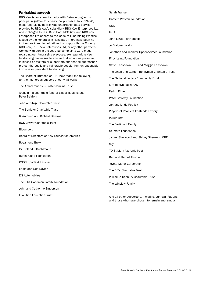#### <span id="page-12-0"></span>Fundraising approach

RBG Kew is an exempt charity, with Defra acting as its principal regulator for charity law purposes. In 2019–20, most fundraising activity was undertaken as a service provided by RBG Kew's subsidiary, RBG Kew Enterprises Ltd, and recharged to RBG Kew. Both RBG Kew and RBG Kew Enterprises Ltd adhere to the Code of Fundraising Practice issued by the Fundraising Regulator. There have been no incidences identified of failure to comply with the Code by RBG Kew, RBG Kew Enterprises Ltd, or any other partners worked with during the year. No complaints were made regarding our fundraising practices. We regularly review fundraising processes to ensure that no undue pressure is placed on visitors or supporters and that all approaches protect the public and vulnerable people from unreasonably intrusive or persistent fundraising.

The Board of Trustees of RBG Kew thank the following for their generous support of our vital work:

The Amar-Franses & Foster-Jenkins Trust

Arcadia – a charitable fund of Lisbet Rausing and Peter Baldwin

John Armitage Charitable Trust

The Banister Charitable Trust

Rosamund and Richard Bernays

BGS Cayzer Charitable Trust

Bloomberg

Board of Directors of Kew Foundation America

Rosamond Brown

Dr. Roland P. Buehlmann

Buffini Chao Foundation

CSSC Sports & Leisure

Eddie and Sue Davies

DS Automobiles

The Ellis Goodman Family Foundation

John and Catherine Emberson

Evolution Education Trust

#### Sarah Fransen

Garfield Weston Foundation

GSK

IKEA

John Lewis Partnership

Jo Malone London

Jonathan and Jennifer Oppenheimer Foundation

Kirby Laing Foundation

Steve Lansdown CBE and Maggie Lansdown

The Linda and Gordon Bonnyman Charitable Trust

The National Lottery Community Fund

Mrs Roslyn Packer AC

Perkin Elmer

Peter Sowerby Foundation

Jan and Linda Pethick

Players of People's Postcode Lottery

PuraPharm

The Sarikhani Family

Sfumato Foundation

James Sherwood and Shirley Sherwood OBE

Sky

70 St Mary Axe Unit Trust

Ben and Harriet Thorpe

Toyota Motor Corporation

The 3 Ts Charitable Trust

William A Cadbury Charitable Trust

The Winslow Family

And all other supporters, including our loyal Patrons and those who have chosen to remain anonymous.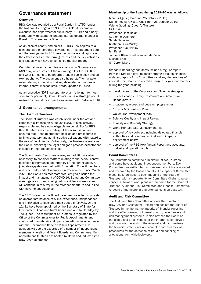# <span id="page-13-0"></span>Governance statement

#### **Overview**

RBG Kew was founded as a Royal Garden in 1759. Under the National Heritage Act 1983 ("the Act") it became an executive non-departmental public body (NDPB) and a body corporate, with exempt charitable status, operating under a Board of Trustees and a Director.

As an exempt charity and an NDPB, RBG Kew aspires to a high standard of corporate governance. This statement sets out the arrangements RBG Kew has in place and reports on the effectiveness of the arrangements and the key activities and issues which have arisen since the last report.

Our internal governance rules are set out in *Governance at RBG Kew*, which sets out the operating rules for RBG Kew and what it means to be an arm's-length public body and an exempt charity. The document also helps staff to navigate rules relating to decision making, delegated authorities and internal control mechanisms. It was updated in 2020.

As an executive NDPB, we operate at arm's length from our sponsor department, Defra. Defra's role is a strategic one. A revised Framework Document was agreed with Defra in 2018.

#### 1.Governance arrangements

#### The Board of Trustees

The Board of Trustees was established under the Act and came into existence on 8 August 1983. It is collectively responsible and has non-delegable responsibility for RBG Kew. It determines the strategy of the organisation and ensures that it has appropriate policies and procedures to fulfil its statutory and administrative obligations with regard to the use of public funds. Collectively, the Trustees operate as the Board, observing the legal and good practice expectations included in their responsibilities.

The Board meets four times a year, and additionally when necessary, to consider matters relating to the overall control, business performance and strategy of the organisation. A joint strategy day was held with Foundation Council members and other independent members in attendance. Since March 2020, the Board has met more frequently to discuss the impact and management of COVID-19. Board and Committee meetings are currently being held via videoconference and will continue in this way in the foreseeable future and in line with government guidance.

The 12 Trustees on the Board have been selected to provide an appropriate balance of skills, experience, independence and knowledge to discharge their duties effectively. Of the 12, 11 have been appointed by the Secretary of State for Environment, Food and Rural Affairs and one by Her Majesty The Queen. The recruitment of Trustees is regulated by the Office of the Commissioner for Public Appointments and conducted through fair and open competition, in accordance with the Governance Code on Public Appointments. In addition, we use the expertise of a number of independent members who sit on different Boards and Committees. On appointment Trustees are briefed by Defra and inducted into RBG Kew's operations.

#### Membership of the Board during 2019–20 was as follows:

Marcus Agius (Chair until 25 October 2019) Dame Amelia Fawcett (Chair from 26 October 2019) Valerie Gooding (Queen's Trustee) Nick Baird Professor Liam Dolan Catherine Dugmore Sarah Flannigan Krishnan Guru-Murthy Professor Sue Hartley Ian Karet Jantiene Klein Roseboom van der Veer Michael Lear Sir Derek Myers

Standard Board agenda items include a regular report from the Director covering major strategic issues, financial updates, reports from Committees and any declarations of interest. The Board considered a range of significant matters during the year including:

- development of the Corporate and Science strategies
- business cases: Family Restaurant and Arboretum **Headquarters**
- broadening access and outreach programmes
- 10 Year Maintenance Plan
- Wakehurst Development Plan
- Science Quality and Impact Review
- Equality and Diversity Strategy
- World Heritage Site Management Plan
- approval of key policies, including delegated financial authorities and reserves, ethical and third-party engagement policy
- approval of the RBG Kew Annual Report and Accounts, budget and operational plan

#### Board Committees

The Committees comprise a minimum of two Trustees and some have additional independent members. Each Committee has written terms of reference which are updated and reviewed by the Board annually. A synopsis of Committee meetings is provided to each meeting of the Board of Trustees, with an opportunity for Committee Chairs to raise concerns. Forward work plans are prepared for the Board of Trustees, Audit and Risk Committee and Finance Committee. A record of membership and attendance is on page 14.

#### Audit and Risk Committee

The Audit and Risk Committee advises the Director of RBG Kew (the Accounting Officer) and assists the Board of Trustees in monitoring the integrity of financial reporting and the effectiveness of internal control, governance and risk management systems. It also advises the Board on the scope and effectiveness of the internal audit service and monitors the work of the external auditor. It reviews the financial statements and annual report and reviews procedures for the detection of fraud and handling of allegations from whistleblowers.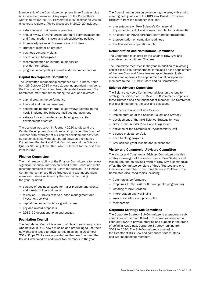Membership of the Committee comprises three Trustees plus an independent member. A key aspect of the Committee's work is to review the RBG Kew strategic risk register as well as directorate registers. Topics discussed in 2019–20 included:

- estate forward maintenance planning
- annual review of safeguarding and third-party engagement, anti-fraud, modern slavery and whistleblowing policies
- three-yearly review of Governance at RBG Kew
- Trustees' register of interests
- business continuity plans
- operations in Madagascar
- recommendation on internal audit service provider from 2021
- progress in completing internal audit recommendations

# Capital Development Committee

The Committee membership comprised four Trustees (three from 26 October 2019 onwards), one independent member of the Foundation Council and two independent members. The Committee met three times during the year and reviewed:

- capital programme performance
- financial and risk management
- actions arising from internal audit reviews relating to the newly implemented in-house facilities management
- estates forward maintenance planning and capital development priorities

The decision was taken in February 2020 to disband the Capital Development Committee which provided the Board of Trustees with oversight of our capital development activities. Its responsibilities were distributed between the Finance Committee, the Audit and Risk Committee and the Science Quarter Steering Committee, which will meet for the first time later in 2020.

#### Finance Committee

The main responsibility of the Finance Committee is to review significant financial matters on behalf of the Board and make recommendations to the full Board for decision. The Finance Committee comprises three Trustees and two independent members. Issues reviewed by the Committee during the year included:

- scrutiny of business cases for major projects and events and long-term financial plans
- review of RBG Kew's reserves, cash management and investment policies
- capital funding and science grant income
- pay and reward proposals
- 2019–20 operational plan and budget

#### Foundation Council

The Foundation Council is a group of philanthropic supporters who believe in RBG Kew's mission and are willing to use their networks and ideas to advance this mission. In December 2019, Pippa Wicks was appointed as the new Chair and the Council welcomed an additional two members in the year.

The Council met in person twice during the year, with a third meeting held jointly with the RBG Kew Board of Trustees. Highlights from the meetings included:

- presentations on Kew Science's Commercial Phytochemistry Unit and research on plants for dementia
- an update on Kew's corporate partnership programme
- a presentation on campaign readiness
- the Foundation's operational plan

#### Remuneration and Nominations Committee

The Committee is chaired by the Chair of RBG Kew and comprises two additional Trustees.

The Committee met twice in the year. In addition to reviewing senior executives' remuneration, it focused on the appointment of the new Chair and future trustee appointments. It also reviews and approves the appointment of all independent members to the RBG Kew Board and its Committees.

#### Science Advisory Committee

The Science Advisory Committee advises on the long-term strategy for science at RBG Kew. The Committee comprises three Trustees and one independent member. The Committee met four times during the year and discussed:

- independent review of Kew Science
- implementation of the Science Collections Strategy
- development of the next Science Strategy for Kew
- State of the World's Plants and Fungi 2020
- activities of the Commercial Phytochemistry Unit
- science projects portfolio
- seed banking progress
- Kew science grant income and publications

#### Visitor and Commercial Advisory Committee

The Visitor and Commercial Advisory Committee provides strategic oversight of the visitor offer at Kew Gardens and Wakehurst, and on driving growth of RBG Kew's commercial offer. The Committee consists of three Trustees and one independent member. It met three times in 2019–20. The Committee discussed topics including:

- Commercial performance
- Proposals for the visitor offer and public programming
- Catering at Kew Gardens
- Interpretation and wayfinding
- Wakehurst site development plan
- Membership

#### Corporate Strategy Sub-Committee

The Corporate Strategy Sub-Committee is a temporary subcommittee of the main Board of Trustees, established in February 2020 to provide steering and support in the areas of defining Kew's next Corporate Strategy running from 2021 to 2030. The Sub-Committee is chaired by the Director of RBG Kew and comprises four Trustees and two independent members.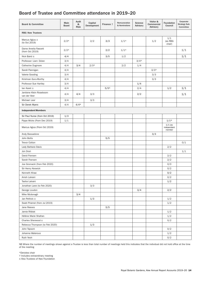# <span id="page-15-0"></span>Board of Trustee and Committee attendance in 2019–20

| <b>Board &amp; Committee</b>            | Main<br><b>Board</b> | Audit<br>&<br><b>Risk</b> | Capital<br>Development | Finance + | Remuneration<br>& Nominations | Science<br><b>Advisory</b> | Visitor &<br>Commercial<br>Advisory | Foundation<br>Council              | Corporate<br><b>Strategy Sub-</b><br>Committee |
|-----------------------------------------|----------------------|---------------------------|------------------------|-----------|-------------------------------|----------------------------|-------------------------------------|------------------------------------|------------------------------------------------|
| <b>RBG Kew Trustees</b>                 |                      |                           |                        |           |                               |                            |                                     |                                    |                                                |
| Marcus Agius ±<br>(to Oct 2019)         | $2/2*$               |                           | 2/2                    | 3/3       | $1/1*$                        |                            | 1/2                                 | 1/1<br>(as RBG<br>chair)           |                                                |
| Dame Amelia Fawcett<br>(from Oct 2019)  | $2/2*$               |                           |                        | 2/2       | $1/1*$                        |                            |                                     |                                    | 1/1                                            |
| Nick Baird ±                            | 4/4                  |                           |                        | 3/5       | 1/2                           |                            |                                     |                                    | 1/1                                            |
| Professor Liam Dolan                    | 3/4                  |                           |                        |           |                               | $3/4*$                     |                                     |                                    |                                                |
| Catherine Dugmore                       | 4/4                  | 3/4                       | $2/3*$                 |           | 2/2                           | 1/4                        |                                     |                                    |                                                |
| Sarah Flannigan                         | 4/4                  |                           |                        |           |                               |                            | $3/3*$                              |                                    |                                                |
| Valerie Gooding                         | 3/4                  |                           |                        |           |                               |                            | 3/3                                 |                                    |                                                |
| Krishnan Guru-Murthy                    | 4/4                  |                           |                        |           |                               |                            | 3/3                                 |                                    |                                                |
| Professor Sue Hartley                   | 3/4                  |                           |                        |           |                               | 1/4                        |                                     |                                    |                                                |
| lan Karet ±                             | 4/4                  |                           |                        | $5/5*$    |                               | 2/4                        |                                     | 1/2                                | 1/1                                            |
| Jantiene Klein Roseboom<br>van der Veer | 4/4                  | 4/4                       | 3/3                    |           |                               | 2/2                        |                                     |                                    | $1/1$                                          |
| Michael Lear                            | 3/4                  |                           | 3/3                    |           |                               |                            |                                     |                                    |                                                |
| Sir Derek Myers                         | 4/4                  | $4/4*$                    |                        |           |                               |                            |                                     |                                    |                                                |
| <b>Independent Members</b>              |                      |                           |                        |           |                               |                            |                                     |                                    |                                                |
| Sir Paul Nurse (from Oct 2019)          | 1/3                  |                           |                        |           |                               |                            |                                     |                                    |                                                |
| Pippa Wicks (From Dec 2019)             | 1/1                  |                           |                        |           |                               |                            |                                     | $1/1*$                             |                                                |
| Marcus Agius (From Oct 2019)            |                      |                           |                        |           |                               |                            |                                     | $1/1$ (as<br>independant<br>member |                                                |
| Andy Bassadone                          |                      |                           |                        |           |                               |                            | 3/3                                 |                                    |                                                |
| John Botts                              |                      |                           |                        | 5/5       |                               |                            |                                     |                                    |                                                |
| Trevor Cotton                           |                      |                           |                        |           |                               |                            |                                     |                                    | 0/1                                            |
| Lady Barbara Davis                      |                      |                           |                        |           |                               |                            |                                     | 2/2                                |                                                |
| Jon Drori                               |                      |                           |                        |           |                               |                            |                                     |                                    | 1/1                                            |
| David Fransen                           |                      |                           |                        |           |                               |                            |                                     | 2/2                                |                                                |
| Sarah Fransen                           |                      |                           |                        |           |                               |                            |                                     | 2/2                                |                                                |
| Joe Gromacki (from Feb 2020)            |                      |                           |                        |           |                               |                            |                                     | 0/0                                |                                                |
| Sir Henry Keswick                       |                      |                           |                        |           |                               |                            |                                     | 0/2                                |                                                |
| Kenneth Khaw                            |                      |                           |                        |           |                               |                            |                                     | 0/2                                |                                                |
| Anish Lalvani                           |                      |                           |                        |           |                               |                            |                                     | 0/2                                |                                                |
| Tasha Lalvani                           |                      |                           |                        |           |                               |                            |                                     | 1/2                                |                                                |
| Jonathan Lane (to Feb 2020)             |                      |                           | 3/3                    |           |                               |                            |                                     |                                    |                                                |
| George Loudon                           |                      |                           |                        |           |                               | 3/4                        |                                     | 2/2                                |                                                |
| Mike Mcdonagh                           |                      | 3/4                       |                        |           |                               |                            |                                     |                                    |                                                |
| Jan Pethick ±                           |                      |                           | 1/3                    |           |                               |                            |                                     | 1/2                                |                                                |
| Swati Piramel (from Jul 2019)           |                      |                           |                        |           |                               |                            |                                     | 1/2                                |                                                |
| Jane Reeves                             |                      |                           |                        | 5/5       |                               |                            |                                     |                                    |                                                |
| Jamie Ritblat                           |                      |                           |                        |           |                               |                            |                                     | 1/2                                |                                                |
| Hélène Marie Shafran                    |                      |                           |                        |           |                               |                            |                                     | 1/2                                |                                                |
| Charles Sherwood ±                      |                      |                           |                        |           |                               |                            |                                     | 0/2                                |                                                |
| Rebecca Thompson (to Feb 2020)          |                      |                           | 1/3                    |           |                               |                            |                                     |                                    |                                                |
| John Taysom                             |                      |                           |                        |           |                               |                            |                                     | 0/2                                |                                                |
| Johanna Waterous                        |                      |                           |                        |           |                               |                            |                                     | 1/2                                |                                                |
| Ruth Yeoh                               |                      |                           |                        |           |                               |                            |                                     | 0/2                                |                                                |

NB Where the number of meetings shown against a Trustee is less than total number of meetings held this indicates that the individual did not hold office at the time of the meeting

\*Denotes chair

† Includes extraordinary meeting

± Also Trustees of Kew Foundation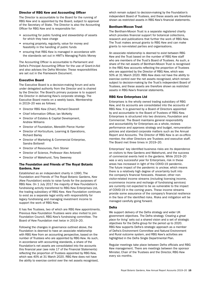#### Director of RBG Kew and Accounting Officer

The Director is accountable to the Board for the running of RBG Kew and is appointed by the Board, subject to approval of the Secretary of State. The Director is also the Accounting Officer for RBG Kew and is responsible for:

- accounting for public funding and stewardship of assets for which they have charge
- ensuring propriety, regularity, value for money and feasibility in the handling of public funds
- ensuring that RBG Kew is managed in accordance with the standards set out in HMT's Managing Public Money

The Accounting Officer is accountable to Parliament and Defra's Principal Accounting Officer for the use of Grant-in-Aid and also advises the Defra Minister. These responsibilities are set out in the Framework Document.

#### Executive Board

The Executive Board is a decision-making forum and acts under delegated authority from the Director and is chaired by the Director. The Board's primary purpose is to support the Director in delivering Kew's corporate strategy. The Executive Board meets on a weekly basis. Membership in 2019–20 was as follows:

- Director RBG Kew (Chair), Richard Deverell
- Chief Information Officer, Ian McKetty
- Director of Estates & Capital Development, Andrew Williams
- Director of Foundation, Meredith Pierce Hunter
- Director of Horticulture, Learning & Operations, Richard Barley
- Director of Marketing & Commercial Enterprise, Sandra Botterell
- Director of Resources, Fern Stoner
- Director of Science, Professor Alex Antonelli
- Director of Wakehurst, Tony Sweeney

#### The Foundation and Friends of The Royal Botanic Gardens, Kew

Established as an independent charity in 1990, The Foundation and Friends of The Royal Botanic Gardens, Kew (Kew Foundation) exists to raise funds for the purposes of RBG Kew. On 1 July 2017 the majority of Kew Foundation's fundraising activity transferred to RBG Kew Enterprises Ltd, the trading subsidiary of RBG Kew. Kew Foundation continues to exist as a separate legal entity with responsibility for legacy fundraising and managing investment income to support the work of RBG Kew.

It has five Trustees, two of which are RBG Kew appointments. Previous Kew Foundation Trustees were also invited to join Foundation Council, RBG Kew's fundraising committee. The Board of Kew Foundation met twice in 2019–20.

Following the changes in governance outlined above, the Foundation is deemed to have an associate relationship with RBG Kew from an accounting perspective, based on the number of Trustees who are appointed by RBG Kew. As such, in accordance with accounting standards, a share of the Foundation's net assets are consolidated into the accounts this financial year (see note 17 of the Financial Statements) reflecting the proportion of Trustees appointed by RBG Kew, which was 40% at 31 March 2020. RBG Kew does not have the ability to exercise control over the net assets recognised, which remain subject to decision-making by the Foundation's independent Board of Trustees, and these assets are therefore shown as restricted assets in RBG Kew's financial statements.

#### Bentham-Moxon Trust

The Bentham-Moxon Trust is a separate registered charity which provides financial support for botanical collections, research and publications that further the work of RBG Kew. The Trust makes annual grants to RBG Kew and can make grants to non-related parties and organisations.

An associate relationship is deemed to exist between RBG Kew and the Trust based on the number of RBG Kew staff who are members of the Trust's Board of Trustees. As such, a share of the net assets of Bentham-Moxon Trust is recognised in the RBG Kew accounts reflecting the proportion of Trustees who are appointed by the Director of RBG Kew, which was 50% at 31 March 2020. RBG Kew does not have the ability to exercise control over the net assets recognised, which remain subject to decision-making by the Trust's independent Board of Trustees, and these assets are therefore shown as restricted assets in RBG Kew's financial statements.

#### RBG Kew Enterprises Ltd

Enterprises is the wholly owned trading subsidiary of RBG Kew, and its accounts are consolidated into the accounts of RBG Kew. It is governed by a Board of Directors appointed by and accountable to the Board of Trustees of RBG Kew. Enterprises is structured into two divisions, Foundation and Commercial. The Board maintains general responsibility and accountability for Enterprises as a whole, reviews performance and approves strategy and budget, remuneration policies and standard corporate matters such as the Annual Report and Accounts. The Director of RBG Kew is an *ex-officio* member, the other Directors are Trustees and executive staff. The Board met three times in 2019–20.

Enterprises' key identified business risks are its dependence on visitors to Kew Gardens and Wakehurst, and the success of commercial events held in the gardens. While 2019–20 was a very successful year for Enterprises, risk in these areas has increased in light of the COVID-19 pandemic. The future impact of the pandemic is unclear, which means there is a relatively high degree of uncertainty built into the company's financial forecasts. However, other nonvisitor-related income streams (including licensing income, e-commerce income and recharge of fundraising services) are currently not expected to be as vulnerable to the impact of COVID-19 in the coming years. These income streams provide some assurance of the company's financial resilience in the face of the identified risks. Risks and mitigation will be managed carefully going forward.

#### Defra

We support delivery of the Defra strategy and wider UK government objectives. The Defra strategy *'Creating a great place for living'* sets out a shared vision and a set of strategic objectives for the Defra group for the period up to 2020. RBG Kew supports Defra's strategic approach as a member of Defra's Environment Committee and Natural Environment and Rural outcome system, and RBG Kew's activities are highlighted in the Defra Single Departmental Plan.

Regular meetings take place between Defra officials and RBG Kew management. There are meetings between the sponsor Minister, Chair of the Trustees and the Director, RBG Kew every six months.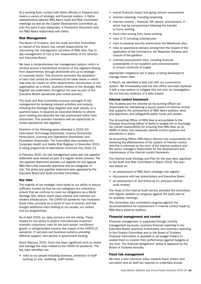At a working level, contact with Defra officials is frequent and covers a variety of strategic and financial matters. A Defra representative attends RBG Kew's Audit and Risk Committee meetings as well as the Capital Development Committee up until the point it was disbanded. A Framework Document sets out RBG Kew's relationship with Defra.

#### Risk Management

The Board of Trustees, and the Audit and Risk Committee on behalf of the Board, has overall responsibility for overseeing risk management activities at RBG Kew. Day to day management of risk is the responsibility of the Director and Executive Board.

We have a comprehensive risk management system, which is centred around a hierarchical structure of risk registers flowing from departmental, through directorate and up to strategic or corporate levels. This structure promotes the escalation of risks that cannot be controlled at the lower levels or which may have an impact on other departments, directorates, or the organisation as a whole. Quarterly reviews of the Strategic Risk Register are undertaken throughout the year as part of the Executive Board operational plan review process.

The Audit and Risk Committee ensures oversight of risk management by reviewing relevant activities and outputs, including the Strategic Risk Register and audit activity, on a quarterly basis. It requests an Executive Director to attend each meeting and describe the risk environment within their directorate. This provides members with an opportunity to review operational risk registers.

Directors of the following areas attended in 2019–20: Information Technology Directorate; Science Directorate; Horticulture, Learning and Operations Directorate; and Foundation Directorate. The Committee also reviewed the Corporate Health and Safety Risk Register in November 2019. A rolling programme of attendance continues into 2020–21.

In February 2020, the risk management policy and risk appetite statement were revised as part of a regular review process. The risk appetite statement provides our appetite for risk against RBG Kew's five corporate objectives and six categories of risk. The policy and appetite statement were approved by the Executive Board and Audit and Risk Committee.

#### Key risks

The majority of our strategic risks relate to our ability to secure sufficient income so that we can safeguard our collections, ensure that we continue to meet our obligations as a World Heritage Site, deliver world class science and maintain our estates infrastructure. The COVID-19 pandemic has increased these risks, primarily as a result of loss of income, and has brought additional risks relating to our people, our visitors and our programmes.

As of April 2020, six risks carried a red risk rating. These related to: the ability to protect internationally important scientific collections; care for the built estate; insufficient growth in self-generated income; the impact of the COVID-19 pandemic; IT services and business systems providing effective support; and decline in government funding.

Since February 2020, there has been significant work to review and manage the risks related to the COVID-19 pandemic. The key risks identified are:

• risks to our people including sickness, protection of staff working on site, wellbeing, staff morale

- overall financial impact and going concern assessment
- recovery planning, including reopening
- internal controls financial, HR, payroll, procurement, IT which may be compromised following the transfer to home working
- fraud risks arising from home working
- risks to IT, including cybersecurity
- risks to physical security (particularly the Wakehurst site)
- risks to operational delivery arising from the impact of the application of the Coronavirus Job Retention Scheme and closure of the gardens
- contract/procurement risks, including financial sustainability of our suppliers and concessionaires to ensure continuity of supply

Appropriate mitigations are in place or being developed to manage these risks.

In March, we identified a data risk with our e-commerce system. We immediately took the site offline and have replaced it with a new system to mitigate this risk and, on investigation, did not find any evidence of a data breach.

#### Internal control framework

The Trustees and the Director as Accounting Officer are responsible for maintaining a sound system of internal control that supports the achievement of RBG Kew's policies, aims and objectives, and safeguards public funds and assets.

The Accounting Officer of RBG Kew is accountable to the Principal Accounting Officer of Defra to enable her to discharge her overall responsibility for ensuring that RBG Kew, as an NDPB of Defra, has adequate internal control systems and procedures in place.

As Accounting Officer, RBG Kew's Director has responsibility for reviewing the effectiveness of the system of internal control and this is informed by the work of the internal auditors and the senior managers responsible for the development and maintenance of the internal control framework.

The Internal Audit Strategy and Plan for the year were approved by the Audit and Risk Committee in March 2019. The plan was based on:

- an assessment of RBG Kew's strategic risk register
- discussions with key stakeholders and Executive Board
- an assessment of, and follow-up on, previous internal audit reviews

The Head of the Internal Audit service provided the Committee with regular updates on progress against the audit plan at its quarterly meetings.

The Committee also considered progress against the recommendations for improvement in internal control made by RBG Kew's external auditors.

#### Financial management and control

Financial management is supported through monthly management accounts, quarterly financial reporting to the Executive Board, quarterly re-forecasts, and summary reporting to the Finance Committee and to the Board of Trustees. Financial information is available to all budget holders to enable them to monitor their performance against budgets at any time. The financial delegations' policy is approved by the Board of Trustees annually.

#### Fraud risk management

We have a zero tolerance policy towards fraud, bribery and corruption and all staff are required to undertake annual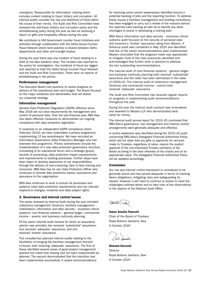<span id="page-18-0"></span>mandatory 'Responsible for Information' training which includes content relating to fraud, bribery and corruption. All internal audits consider the risk and likelihood of fraud within the scope of their remits. The Audit and Risk Committee have reviewed the anti-fraud, bribery and corruption policy and the whistleblowing policy during the year as well as receiving a report on gifts and hospitality offered during the year.

We contribute to HM Government counter fraud initiatives and activities through collaboration with the Defra Group Counter Fraud Network where best practice is shared between Defra departments and other arm's-length bodies.

During the year there was one incident of fraud relating to a theft at the Kew Gardens shop. The incident was reported to the police for investigation. Any incidents of fraud are logged and reported to both the Defra Group Counter Fraud Network and the Audit and Risk Committee. There were no reports of whistleblowing in the period.

#### Performance management

The Executive Board met quarterly to review progress on delivery of the operational plan and budget. The Board focused on the major initiatives and deliverables that will deliver our corporate strategy.

#### Information management

General Data Protection Regulation (GDPR) effective since May 2018 set out clear requirements for management and control of personal data. Over the last financial year, RBG Kew has taken effective measures to demonstrate our ongoing compliance with data protection legislation.

In response to an independent GDPR compliance check (February 2019), we have undertaken a privacy programme, implementing 12 key workstreams. We have recruited an Information Governance (Data Protection) Manager who has overseen this programme. Privacy workstreams include the implementation of a new data protection governance structure (consisting of an operational forum and a strategic group), records of processing, data protection impact assessments and improvements to existing processes. Further steps have been taken to develop awareness of our responsibilities through the delivery of new e-learning, face to face training and resources. RBG Kew has its own Data Protection Officer who continues to provide data protection advice, assistance and assurance to the organisation.

RBG Kew continues to work to ensure all processes and systems meet data protection requirements and can robustly respond to changes, incidents and data subject rights.

#### 2. Governance and internal control issues

The areas reviewed by Internal Audit during the year included: collections management (Science); facilities management – mobilisation; information and data security – business critical systems; core financial systems – general ledger; commercial income – events; and business continuity planning.

Of the seven internal audit reviews for which an assurance opinion was provided, two received 'substantial' assurance, four received 'adequate' assurance, and one received 'limited' assurance.

This included two planned internal audits relating to the facilitation of bringing the facilities management function in-house, both receiving 'adequate' assurance. The first of these identified several areas of good project management practice but noted that training had not been implemented as planned. The second demonstrated that the transition had been implemented successfully. It raised recommendations

for resolving some control weaknesses identified around a potential backlog of jobs and the reporting function. To address these issues a facilities management and building consultancy has been engaged to carry out a review of the reasons behind the reported calls backlog as well as to identify any skills shortages to assist in developing a training plan.

RBG Kew's information and data security – business critical systems audit focused on the security of personal data and received a 'limited' assurance rating from Mazars. A follow-up audit was completed in May 2020 and identified that five of the seven recommendations were implemented. Mazars concluded that the progress made was appropriate to mitigate most of the risks previously identified and acknowledged that further work is planned to address the two outstanding recommendations.

The internal audit of core financial systems – general ledger and business continuity planning both received 'substantial' assurance and the latter has been well-tested in the wake of COVID-19. The internal audit of collections management (Science) and commercial income – events both received 'adequate' assurance.

The Audit and Risk Committee has received regular reports on progress in implementing audit recommendations throughout the year.

During the year the internal audit contract was re-tendered and awarded to Mazars LLP who demonstrated best value for money.

The internal audit annual report for 2019–20 concluded that RBG Kew's governance, risk management and internal control arrangements were generally adequate and effective.

A control weakness was identified during the 2019–20 audit concerning RBG Kew's Delegated Financial Authorities Policy, which did not state that any gifts or payments for services made to Trustees, regardless of value, require the explicit approval of the non-interested Trustee members of the Board as being in the best interests of the charity and at an appropriate value. The Delegated Financial Authorities Policy will be updated accordingly.

#### Conclusion

Our risk and internal control framework is considered to be generally sound and has proved adequate in terms of meeting Kew's obligations, mitigating risks and safeguarding its assets. However, it will need to continue to evolve to meet the challenges outlined above and to take note of the observations in the reports of the National Audit Office.



Dame Amelia Fawcett Chair of the Board of Trustees Royal Botanic Gardens, Kew 9 October 2020

حلو، لمکہ

Richard Deverell Director Royal Botanic Gardens, Kew 9 October 2020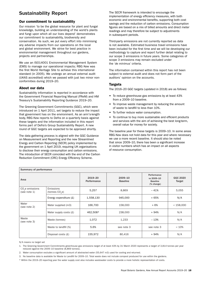# <span id="page-19-0"></span>Sustainability Report

# Our commitment to sustainability

Our mission 'to be the global resource for plant and fungal knowledge, building an understanding of the world's plants and fungi upon which all our lives depend' demonstrates our commitment to sustainability, biodiversity and conservation. As such, we put every effort into minimising any adverse impacts from our operations on the local and global environment. We strive for best practice in environmental management throughout our gardens, projects and partnerships.

We use an ISO14001 Environmental Management System (EMS) to manage our operational impacts; RBG Kew was the first World Heritage Site to achieve this international standard (in 2005). We undergo an annual external audit (UKAS accredited) which we passed with just two minor nonconformities during 2019–20.

# About our data

Sustainability information is reported in accordance with the Government Financial Reporting Manual (FReM) and HM Treasury's Sustainability Reporting Guidance 2019–20.

The Greening Government Commitments (GGC), which were introduced on 1 April 2011, set targets to reduce the impact that government has on the environment. As an arm's-length body, RBG Kew reports to Defra on a quarterly basis against these targets and the information included in this report forms part of Defra's Group Sustainability Report. A new round of GGC targets are expected to be approved shortly.

The data gathering process is aligned with the GGC Guidance on Measurement and Reporting and the new Streamlined Energy and Carbon Reporting (SECR) policy implemented by the government on 1 April 2019, requiring UK organisations to disclose their energy consumption and carbon emissions. The introduction of SECR coincided with the end of the Carbon Reduction Commitment (CRC) Energy Efficiency Scheme.

The SECR framework is intended to encourage the implementation of energy efficiency measures, with both economic and environmental benefits, supporting both cost savings and the reduction of carbon emissions. Consumption figures are based on a mix of billed amounts and direct meter readings and may therefore be subject to adjustments in subsequent periods.

Third-party emissions are not currently reported as data is not available. Estimated business travel emissions have been included for the first time and we will be developing our methodology to capture and report further detail relating to our scope 3 emissions in future years. Some categories of scope 3 emissions may remain excluded under the *'de minimus'* criteria.

The information contained within this report has not been subject to external audit and does not form part of the auditors' opinion on the accounts.

#### **Targets**

The 2016–20 GGC targets (updated in 2018) are as follows:

- To reduce greenhouse gas emissions by at least 43% from a 2009–10 baseline.
- To improve waste management by reducing the amount of waste to landfill to less than 10%.
- To further reduce water consumption.
- To continue to buy more sustainable and efficient products and services with the aim of achieving the best long-term, overall value for money for society.

The baseline year for these targets is 2009–10. In some areas RBG Kew does not hold data for this year and where necessary we use a more recent baseline. It should also be noted that since 2009–10, there has been a significant increase in visitor numbers which has an impact on all aspects of resource consumption.

| Summary of performance           |                                         |                        |                            |                                                            |                    |  |  |
|----------------------------------|-----------------------------------------|------------------------|----------------------------|------------------------------------------------------------|--------------------|--|--|
| Area                             |                                         | 2019-20<br>Performance | 2009-10<br><b>Baseline</b> | Performance<br>vs 2009-10<br><b>Baseline</b><br>(% change) | GGC 2020<br>Target |  |  |
| $CO2e$ emissions<br>(see note 1) | Emissions<br>(tonnes CO <sub>2</sub> e) | 5,257                  | 8,869                      | $-41%$                                                     | 5,055              |  |  |
|                                  | Energy expenditure $(E)$                | 1,558,130              | 945,000                    | $+65%$                                                     | N/A                |  |  |
| Water<br>(see note 2)            | Water supplied (m3)                     | 166,700                | 158,000                    | $+6%$                                                      | < 158,000          |  |  |
|                                  | Water supply costs $(E)$                | 462,508*               | 238,000                    | $+94%$                                                     | N/A                |  |  |
| Waste<br>(see note 3)            | Waste (tonnes)                          | 1,072                  | 1,233                      | $-13%$                                                     | N/A                |  |  |
|                                  | Waste to landfill (%)                   | 5.6%                   | see note 3                 | see note 3                                                 | < 10%              |  |  |
|                                  | Disposal costs (£)                      | 155,972                | 80,416                     | $+94%$                                                     | N/A                |  |  |

N/A means no target set

1. The Greening Government Commitments greenhouse gas emissions target of at least 43% by 31 March 2020 represents a target of 3,814 tonnes per year reduced against the 2009–10 baseline (8,869 tonnes).

2. Water consumption excludes a significant amount of abstracted water (55,647 m3) used for cooling and returned.

3. No baseline data is available for Waste to Landfill for 2009–10. Total waste does not include compost produced for use within the gardens.

\* Within the 2019–20 reporting year the water supply cost also includes wastewater costs to provide a more holistic representation of costs.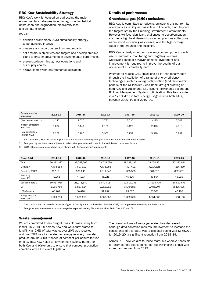# RBG Kew Sustainability Strategy

RBG Kew's work is focused on addressing the major environmental challenges faced today, including habitat destruction and degradation, biodiversity loss and climate change.

We will:

- develop a world-class 2030 sustainability strategy, to be launched in 2021
- measure and report our environment impacts
- set ambitious objectives and targets and develop credible plans to drive improvements in environmental performance
- prevent pollution through our operations and our supply chains
- always comply with environmental legislation

### Details of performance

### Greenhouse gas (GHG) emissions

RBG Kew is committed to reducing emissions arising from its operations as rapidly as possible – in line with, if not beyond, the targets set by the Greening Government Commitments. However, we face significant challenges to decarbonisation, such as a high heat demand (protecting precious collections within listed Victorian glasshouses) and the high heritage value of the grounds and buildings.

RBG Kew actively monitors its energy consumption through use of automatic monitoring and targeting systems wherever possible; however, ongoing investment and improvement is required to improve the quality of our operational sustainability data.

Progress to reduce GHG emissions so far has mostly been through the installation of a range of energy efficiency technologies such as voltage optimisation (and photovoltaic panels) at the Millennium Seed Bank, draught-proofing at both Kew and Wakehurst, LED lighting, low-energy boilers and Building Management System optimisation. This has resulted in a 17.3% drop in total energy usage across both sites, between 2009–10 and 2019–20.

| Greenhouse gas<br>emissions                   | 2014-15 | 2015-16 | 2016-17 | 2017-18 | 2018-19 | 2019-20 |
|-----------------------------------------------|---------|---------|---------|---------|---------|---------|
| Direct emissions (1)                          | 4.240   | 4.027   | 3.773   | 3.630   | 3.275   | 3,242   |
| Indirect emissions<br>(see note $2,3$ )       | 3,032   | 2,440   | 2.189   | 2,122   | 2,043   | 2,015   |
| Total emissions<br>(Tonnes CO <sub>se</sub> ) | 7.272   | 6.467   | 5.962   | 5.752   | 5.318   | 5,257   |

1. For consistency with the previous years, direct emissions resulting from gas consumed from CHP have been excluded

2. Prior year figures have been adjusted to reflect changes to historic data in line with latest conversion factors

3. 2019–20 emission factors have been aligned with Defra reporting requirements

| Energy (kWh)                          | 2014-15    | 2015-16    | 2016-17    | 2017-18    | 2018-19    | 2019-20    |
|---------------------------------------|------------|------------|------------|------------|------------|------------|
| Total                                 | 30,273,397 | 32,559,506 | 29,745,788 | 29,337,193 | 28,056,251 | 27,383,991 |
| Electricity                           | 7,468,354  | 7,597,193  | 7,735,885  | 7,497,601  | 7,217,625  | 7,265,889  |
| Electricity (CHP)                     | 907,151    | 995.040    | 1,011,346  | 1,003,563  | 981,978    | 802,567    |
| Electricity<br>(solar PV)             | 48.955     | 44.183     | 45.225     | 45.826     | 46.864     | 45.916     |
| Gas (see note 1)                      | 19,537,956 | 21,971,540 | 18,703,184 | 17,617,245 | 17,295,700 | 16,821,576 |
| Oil                                   | 2,265,780  | 1.867.134  | 2,218,916  | 3,149,241  | 2.485.204  | 2,405,635  |
| LPG (Propane)                         | 45.201     | 84.416     | 31.232     | 23.717     | 28.880     | 42,408     |
| Energy costs $(E)$<br>(see note $2$ ) | 1,229,730  | 1,509,953  | 1,563,956  | 1,399,323  | 1,551,809  | 1,558,130  |

1. Gas consumption reported is inclusive of gas utilised by the Combined Heat & Power (CHP) unit to generate electricity and heat onsite

2. Energy expenditure relates to those categories reported namely Electricity (CHP & Grid), Gas, LPG and Oil

#### Waste management

We are committed to diverting all possible waste away from landfill. In 2019–20 across Kew and Wakehurst waste to landfill was 5.6% of total waste: over 20% was recycled, and over 70% was incinerated for energy recovery. We also produce around 4,000 tonnes of compost per annum for use on site. RBG Kew holds an Environment Agency permit for both Kew and Wakehurst to ensure that compost production complies with all relevant legislation.

The overall volume of waste generated has decreased, although data collection requires improvement to increase the consistency of this data. Waste disposal spend was £155,972 for 2019–20, a significant reduction from 2018–19.

Across RBG Kew we aim to reuse materials wherever possible, for example this year's orchid festival wayfinding signage was stored and reused from 2019.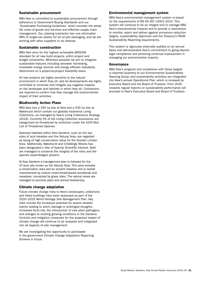# Sustainable procurement

RBG Kew is committed to sustainable procurement through adherence to Government Buying Standards and our 'Sustainable Purchasing Guidelines' which consider the whole life costs of goods and services and effective supply chain management. Our catering contractor has now eliminated 98% of single-use plastic for all on-site packaging, and we are working with other suppliers to do likewise.

# Sustainable construction

RBG Kew aims for the highest achievable BREEAM standard for all new build projects, within project and budget constraints. Wherever possible we aim to integrate sustainable features including rainwater harvesting, renewable energy sources and energy efficient standards, determined on a project-by-project feasibility basis.

All new projects are highly sensitive to the natural environment in which they sit, and all developments are highly controlled to minimise and mitigate any negative impacts on the landscape and habitats in which they sit. Contractors are required to confirm how they manage the environmental impact of their activities.

# Biodiversity Action Plans

RBG Kew has a 330 ha site at Kew and a 535 ha site at Wakehurst which contain our globally biodiverse Living Collections, as managed by Kew's Living Collections Strategy (2019). Currently 5% of the Living Collection accessions are categorised as threatened by extinction under the IUCN Red List of Threatened Species.

Selected habitats within Kew Gardens, such as the two sites of acid meadow and the Natural Area, are regarded as being of high conservation value for the Greater London Area. Additionally, Wakehurst and Chiddingly Woods has been designated a Site of Special Scientific Interest. Both are managed to conserve the integrity of the sites and the species assemblages present.

At Kew Gardens a management plan is followed for the 37-acre site known as the Natural Area. This area includes a conservation area and an ancient meadow and is overall characterised by mature mixed broad-leaved woodlands and meadows, connected by grass rides. The natural areas are managed to promote plant and animal biodiversity.

# Climate change adaptation

Future climate change risks to Kew's landscapes, collections and listed buildings have been assessed as part of the 2020–2025 World Heritage Site Management Plan. Key risks include the increased potential for severe weather events leading to storm damage or prolonged droughts, increased flood risk, the introduction of new plant pathogens and changes to existing growing conditions in the Gardens. Controls and mitigation measures for the projected impact of climate change will continue to be analysed and integrated into all aspects of site management.

We are investigating the opportunity to participate in the government Climate Change Adaptation Reporting Scheme in future.

# Environmental management system

RBG Kew's environmental management system is based on the requirements of BS EN ISO 14001:2015. This system will continue to be an integral tool to manage RBG Kew's environmental impacts and to provide a mechanism to monitor, report and deliver against emissions reduction targets, sustainability objectives and the Treasury's FReM Sustainability Reporting requirements.

This system is rigorously externally audited on an annual basis and demonstrates Kew's commitment to going beyond legal compliance and achieving continual improvement in managing our environmental impacts.

### **Governance**

RBG Kew's progress and compliance with these targets is reported quarterly to our Environmental Sustainability Steering Group, and sustainability activities are integrated into Kew's annual Operational Plan, which is reviewed by Executive Board and the Board of Trustees. From 2020 onwards regular reports on sustainability performance will provided to Kew's Executive Board and Board of Trustees.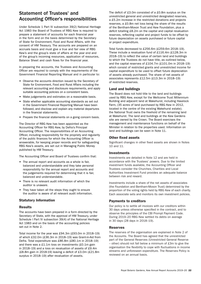# <span id="page-23-0"></span>Statement of Trustees' and Accounting Officer's responsibilities

Under Schedule 1 Part IV subsection 39(2) National Heritage Act 1983 the Board of Trustees of RBG Kew is required to prepare a statement of accounts for each financial year in the form and on the basis determined by the Secretary of State for Environment, Food and Rural Affairs, with the consent of HM Treasury. The accounts are prepared on an accruals basis and must give a true and fair view of RBG Kew's and the group's state of affairs at the year end and of the group's incoming resources, application of resources, Balance Sheet and cash flows for the financial year.

In preparing the accounts, the Trustees and Accounting Officer are required to comply with the requirements of the Government Financial Reporting Manual and in particular to:

- Observe the accounts direction issued by the Secretary of State for Environment, Food and Rural Affairs including the relevant accounting and disclosure requirements, and apply suitable accounting policies on a consistent basis.
- Make judgements and estimates on a reasonable basis.
- State whether applicable accounting standards as set out in the Government Financial Reporting Manual have been followed, and disclose and explain any material departures in the financial statements.
- Prepare the financial statements on a going concern basis.

The Director of RBG Kew has been appointed as the Accounting Officer for RBG Kew, by Defra's Principal Accounting Officer. The responsibilities of an Accounting Officer, including responsibility for the propriety and regularity of the public finances for which the Accounting Officer is answerable, for keeping proper records and for safeguarding RBG Kew's assets, are set out in Managing Public Money published by HM Treasury.

The Accounting Officer and Board of Trustees confirm that:

- The annual report and accounts as a whole is fair, balanced and understandable and they take personal responsibility for the annual report and accounts and the judgements required for determining that it is fair, balanced and understandable.
- There is no relevant audit information of which the auditor is unaware.
- They have taken all the steps they ought to ensure the auditor is aware of all relevant audit information.

#### Statutory Information

#### Results

The accounts have been prepared in a form directed by the Secretary of State, with the approval of HM Treasury, under Schedule I Part IV subsection 39(4) of the National Heritage Act 1983 and on the basis of the accounting policies set out in Note 2.

Total income for the year was £94.3m (£93.0m in 2018–19) of which £32.0m (£36.3m in 2018–19) was Grant-in-Aid from Defra. Total expenditure was £86.8m (£80.1m in 2018–19) and there was a £1.1m loss on investments (£0.1m gain in 2018–19) and a loss on revaluation of assets of £9.4m (£8.8m gain in 2018-19) leaving a deficit of £3.0m (£21.8m surplus in 2018–19) after revaluation of assets.

The deficit of £3.0m consisted of a £0.8m surplus on the unrestricted general and unrestricted designated reserves, a £5.2m increase in the restricted donations and projects reserves, a £0.8m net loss being the share of the results of the Bentham-Moxon Trust and Kew Foundation, plus a deficit totalling £8.2m on the capital and capital revaluation reserves, reflecting capital and project funds to be offset by future depreciation on assets purchased or future capital or project expenditure.

Total funds decreased to £256.6m (£259.6m 2018–19). These include a revaluation fund of £116.4m (£128.3m in 2018–19) to reflect the value of certain land and buildings to which the Trustees do not have title, as outlined below, and the capital reserves of £104.7m (£101.0m in 2018–19) which consist of restricted grants and unrestricted income for capital expenditure to be used to offset future depreciation of assets already purchased. The share of net assets of associates represents £12.5m (£13.3m in 2018–19) of restricted reserves.

#### Land and buildings

The Board does not hold title to the land and buildings used by RBG Kew, except for the Wellcome Trust Millennium Building and adjacent land at Wakehurst, including Havelock Farm, (35 acres of land purchased by RBG Kew in 2012, located in the centre of the existing Wakehurst estate); the National Trust owns the freehold of the remaining land at Wakehurst. The land and buildings at the Kew Gardens site are owned by the Crown. The Board exercises the management and maintenance functions on behalf of the Minister in relation to the properties used. Information on land and buildings can be seen in Note 11.

#### Other fixed assets

Significant changes in other fixed assets are shown in Notes 10 and 11.

#### Investments

Investments are detailed in Note 12 and are held in accordance with the Trustees' powers. Due to the limited investment funds available, the Accounting Officer and Trustees consider the Churches, Charities and Local Authorities Investment Fund provides an adequate balance between risk and reward.

Investments include a share of the net assets of associates (the Foundation and Bentham-Moxon Trust) determined by the proportion of the voting rights held by RBG Kew of each charity. Each associate sets and monitors its own investment policies.

#### Payments to creditors

Our policy is to settle all invoices with our creditors within 30 days unless otherwise specified in the contract, and to observe the principles of the CBI Prompt Payment Code. During 2019–20 RBG Kew settled its debts on average in 30 days (28 days in 2018–19).

#### Reserves

The reserves of the organisation are explained in Note 2 of the Accounts. The Board has agreed that the unrestricted part of the General Reserves (Unrestricted General Reserve – other) should not fall below a minimum of £3m to give the organisation the flexibility to cope with fluctuations in income streams and unforeseen expenditure. The Reserves Policy is reviewed on an annual basis.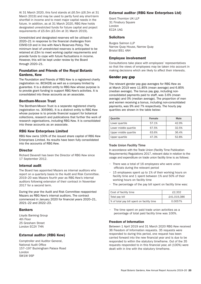At 31 March 2020, this fund stands at £6.5m (£6.3m at 31 March 2019) and may be used to partly fund any short-term shortfall in income and to meet major capital needs in the future. In addition, as at 31 March 2020, RBG Kew holds designated unrestricted funds for future capital and project requirements of £5.6m (£5.0m at 31 March 2019).

Unrestricted and designated reserves will be utilised in 2020–21 in response to the financial challenges from COVID-19 and in line with Kew's Reserves Policy. The minimum level of unrestricted reserves is anticipated to be retained at £3m to meet working capital requirements and provide funds to cope with future fluctuations in income. However, this will be kept under review by the Board through 2020–21.

# Foundation and Friends of the Royal Botanic Gardens, Kew

The Foundation and Friends of RBG Kew is a registered charity (registration no. 803428) as well as a company limited by guarantee. It is a distinct entity to RBG Kew whose purpose is to provide grant funding to support RBG Kew's activities. It is consolidated into these accounts as an associate.

# Bentham-Moxon Trust

The Bentham-Moxon Trust is a separate registered charity (registration no. 305966). It is a distinct entity to RBG Kew whose purpose is to provide financial support for botanical collections, research and publications that further the work of research organisations, including RBG Kew. It is consolidated into these accounts as an associate.

# RBG Kew Enterprises Limited

RBG Kew owns 100% of the issued share capital of RBG Kew Enterprises Limited. Its results have been fully consolidated into the accounts of RBG Kew.

# **Director**

Richard Deverell has been the Director of RBG Kew since 17 September 2012.

# Internal audit

The Board has appointed Mazars as internal auditors who report on a quarterly basis to the Audit and Risk Committee. 2019–20 was Mazars fourth year as RBG Kew's internal auditors following extension of their contract in November 2017 for a second term.

During the year the Audit and Risk Committee reappointed Mazars as RBG Kew's internal auditors. The contract commenced in January 2020 for financial years 2020–21, 2021–22 and 2022–23.

# **Bankers**

Lloyds Banking Group 4th Floor 25 Gresham Street London EC2V 7HN

# External auditor (RBG Kew)

Comptroller and Auditor General, National Audit Office 157–197 Buckingham Palace Road London SW1W 9SP

# External auditor (RBG Kew Enterprises Ltd)

Grant Thornton UK LLP 31 Finsbury Square London EC2A 1AG

# Solicitors

Burges Salmon LLP Narrow Quay House, Narrow Quay Bristol BS1 4AH

# Employee involvement

Consultations take place with employees' representatives so that the views of employees may be taken into account in making decisions which are likely to affect their interests.

# Gender pay gap

The relevant gender pay gap averages for RBG Kew as at March 2019 were 11.85% (mean average) and 6.85% (median average). The bonus pay gap, including nonconsolidated payments paid to staff, was 3.6% (mean average) and 0% (median average). The proportion of men and women receiving a bonus, including non-consolidated payments, was 9% and 7% respectively. The hourly pay quartiles are shown in the table below:

| Quartile              | Female | Male  |
|-----------------------|--------|-------|
| Lower quartile        | 57.1%  | 42.9% |
| Lower middle quartile | 67.5%  | 32.5% |
| Upper middle quartile | 63.6%  | 36.4% |
| Upper quartile        | 47.3%  | 52.8% |

# Trade Union Facility Time

In accordance with the Trade Union (Facility Time Publication Requirements) Regulations 2017, relevant data in relation to the usage and expenditure on trade union facility time is as follows:

- There was a total of 16 employees who were union officials during the relevant period
- 15 employees spent up to 1% of their working hours on facility time and 1 spent between 1% and 50% of their working hours on facility time
- The percentage of the pay bill spent on facility time was:

| Cost of facility time                      | £2.332      |
|--------------------------------------------|-------------|
| Total pay bill                             | £41.019.386 |
| % of total pay bill spent on facility time | 0.0057%     |

• The time spent on paid trade union activities as a percentage of total paid facility time was 100%.

# Freedom of Information

Between 1 April 2019 and 31 March 2020 RBG Kew received 36 Freedom of Information requests. 35 requests were responded to during this period, one request has been carried forward into the new financial year and is due to be responded to within the statutory timeframe. Out of the 35 requests responded to in this financial year, all (100%) were dealt with in line with the statutory timeframe.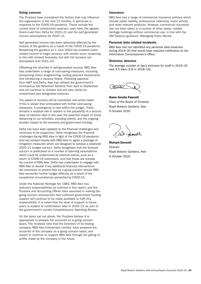#### Going concern

The Trustees have considered the factors that may influence the organisation in the next 12 months, in particular in response to the COVID-19 pandemic. These include the current level of unrestricted reserves, cash held, the agreed Grant-in-aid from Defra for 2020–21 and the self generated income assumptions for 2020–21.

Self generated income has been adversely affected by the closure of the gardens as a result of the COVID-19 pandemic. Reopening the gardens on 1 June 2020 has enabled visitor related income to begin recovery with results since reopening in line with revised forecasts, but with full recovery not anticipated until 2021–22.

Offsetting the shortfall in self-generated income, RBG Kew has undertaken a range of cost-saving measures, including postponing visitor programming, cutting planned investments and introducing a vacancy freeze. Following approval from HMT and Defra, Kew has utilised the government's Coronavirus Job Retention Scheme from April to September and will continue to October and will also utilise its unrestricted and designated reserves.

The speed of recovery will be monitored, and action taken if this is slower than anticipated with further cost-saving measures. A contingency is held within the budget. There remains a residual risk in relation to the possibility of a second wave of infection later in the year, the potential impact of social distancing to our activities, including events, and the ongoing broader impact to the economy and government funding.

Defra has been kept updated on the financial challenges and continues to be supportive. Defra recognises the financial challenges facing RBG Kew in light of the COVID-19 pandemic and has worked closely with RBG Kew to agree a package of mitigation measures which are designed to achieve a balanced 2020–21 budget out-turn. Defra recognises that the forecast out-turn is predicated on a number of planning assumptions which could be undermined by external events, such as a return of COVID-19 restrictions, and that these are outside the control of RBG Kew. Defra has undertaken to engage with RBG Kew to decide if any additional financial interventions are necessary to protect Kew as a going concern should RBG Kew encounter further budget difficulty as a result of the exceptional circumstances presented by COVID-19.

Under the National Heritage Act 1983, RBG Kew has statutory responsibilities as outlined in this report, and the Trustees and Accounting Officer have assumed in making the going concern assessment that sufficient government funding support will continue to be made available to fulfil this responsibility. It is noted that the level of support in future years is subject to confirmation later in 2020–21 as part of the government's current Comprehensive Spending Review.

On the basis set out above, the Trustees believe it is appropriate to prepare the accounts on a going concern basis. The Trustees note that the Directors of its trading company, RBG Kew Enterprises Limited, have prepared the accounts of the company on a going concern basis, and expect to continue to support RBG Kew through the gifting of profits made by the company in the future.

#### **Insurance**

RBG Kew has a range of commercial insurance policies which include public liability, professional indemnity, motor vehicle and other relevant products. However, commercial insurance has not been taken in a number of other areas, notably heritage buildings without commercial use, in line with the HM Treasury guidance 'Managing Public Money'.

#### Personal data related incidents

RBG Kew has not identified any personal data breaches during 2019–20 that would have required notification to the Information Commissioner's Office.

#### Sickness absence

The average number of day's sickness for staff in 2019–20 was 3.5 days (3.8 in 2018–19).

Dame Amelia Fawcett Chair of the Board of Trustees Royal Botanic Gardens, Kew 9 October 2020

Richard Deverell **Director** Royal Botanic Gardens, Kew 9 October 2020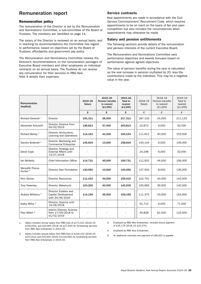# <span id="page-26-0"></span>Remuneration report

# Remuneration policy

The remuneration of the Director is set by the Remuneration and Nominations Committee, a sub-committee of the Board of Trustees. The members are identified on page 14.

The salary of the Director is reviewed on an annual basis, and in reaching its recommendations the Committee has regard to performance, based on objectives set by the Board of Trustees, affordability and government pay policy.

The Remuneration and Nominations Committee reviews the Director's recommendations on the remuneration packages of Executive Board members and other employees on individual contracts on an annual basis. The Trustees do not receive any remuneration for their services to RBG Kew. Note 9 details their expenses.

### Service contracts

Kew appointments are made in accordance with the Civil Service Commissioners' Recruitment Code, which requires appointments to be on merit on the basis of fair and open competition but also includes the circumstances when appointments may otherwise be made.

### Salary and pension entitlements

The following sections provide details of the remuneration and pension interests of the current Executive Board.

The Remuneration and Nominations Committee sets performance objectives and awards bonuses based on performance against agreed objectives.

The value of pension benefits during the year is calculated as the real increase in pension multiplied by 20, less the contributions made by the individual. This may be a negative value in the year.

| Remuneration<br>(Audited)                      |                                                                       | 2019-20<br>Salary | 2019-20<br><b>Pension benefits</b><br>to nearest<br>(E1,000) | 2019-20<br>Total to<br>nearest<br>(E1,000) | 2018-19<br>Salary | 2018-19<br>Pension benefits<br>to nearest<br>(E1,000) | 2018-19<br>Total to<br>nearest<br>(E1,000) |
|------------------------------------------------|-----------------------------------------------------------------------|-------------------|--------------------------------------------------------------|--------------------------------------------|-------------------|-------------------------------------------------------|--------------------------------------------|
|                                                |                                                                       | £                 | £                                                            | £                                          | £                 | £                                                     | £                                          |
| Richard Deverell <sup>1</sup>                  | Director                                                              | 191,311           | 26,000                                                       | 217,311                                    | 187,133           | 24,000                                                | 211,133                                    |
| Alexandre Antonelli                            | Director, Science from<br>04/02/2019                                  | 146,813           | 57,000                                                       | 203,813                                    | 22,872            | 9,000                                                 | 32,000                                     |
| Richard Barley <sup>2</sup>                    | Director, Horticulture.<br>Learning and Operations                    | 114,153           | 41,000                                                       | 155,153                                    | 111,612           | 40,000                                                | 152,000                                    |
| Sandra Botterell <sup>3</sup>                  | Director, Marketing and<br><b>Commercial Enterprise</b>               | 145,604           | 13,000                                                       | 158,604                                    | 140.144           | 9,000                                                 | 149,000                                    |
| David Cope                                     | Director, Strategy and<br><b>External Affairs until</b><br>13/07/2018 |                   |                                                              |                                            | 24,248            | 9.000                                                 | 33,000                                     |
| lan McKetty                                    | <b>Chief Information Officer</b>                                      | 114,731           | 45,000                                                       | 159,731                                    | 111,932           | 44.000                                                | 156,000                                    |
| <b>Meredith Pierce-</b><br>Hunter <sup>4</sup> | Director, Kew Foundation                                              | 130,050           | 10,000                                                       | 140.050                                    | 127,500           | 8,000                                                 | 136,000                                    |
| Fern Stoner                                    | Director, Resources                                                   | 111,410           | 44,000                                                       | 155,410                                    | 102,791           | 40,000                                                | 143,000                                    |
| <b>Tony Sweeney</b>                            | Director, Wakehurst                                                   | 103,200           | 40,000                                                       | 143,200                                    | 100,683           | 39,000                                                | 140,000                                    |
| Andrew Williams <sup>5</sup>                   | Director, Estates and<br>Capital Development<br>until 30/06/2020      | 114,159           | 45,000                                                       | 159,159                                    | 111,375           | 43,000                                                | 154,000                                    |
| Kathy Willis <sup>5</sup>                      | Director, Science until<br>14/09/2018                                 |                   |                                                              |                                            | 61,712            | 9,000                                                 | 71,000                                     |
| Paul Wilkin <sup>6</sup>                       | Interim Director, Science<br>from 17/09/2018 to<br>01/02/2019         |                   |                                                              |                                            | 40,838            | 81,000                                                | 122,000                                    |

1. Salary includes annual salary from RBG Kew of £171,311 (2018–19 £159,633), and £20,000 (2018–19 £27,500) for fundraising services from RBG Kew Enterprises in 2019–20.

2. Salary includes annual salary from RBG Kew of £104,153 (2018–19 £101,612) and £10,000 (2018–19 £10,000) for fundraising services from RBG Kew Enterprises in 2019–20.

3. Employed by RBG Kew Enterprises. Includes bonus payment of £16,178 (2018–19 £15,270).

4. Employed by RBG Kew Enterprises.

5. An additional voluntary exit payment of £66,000 is payable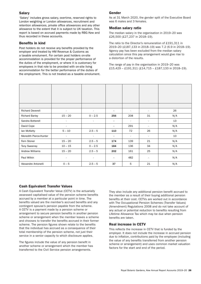# **Salary**

'Salary' includes gross salary, overtime, reserved rights to London weighting or London allowances, recruitment and retention allowances, private office allowances and any other allowance to the extent that it is subject to UK taxation. This report is based on accrued payments made by RBG Kew and thus recorded in these accounts.

### Benefits in kind

Post holders do not receive any benefits provided by the employer and treated by HM Revenue & Customs as a taxable emolument. For certain post holders on-site accommodation is provided for the proper performance of the duties of the employment, or where it is customary for employees in that role to be provided with on-site living accommodation for the better performance of the duties of the employment. This is not treated as a taxable emolument.

# Gender

As at 31 March 2020, the gender split of the Executive Board was 6 males and 3 females.

### Median salary ratio

The median salary in the organisation in 2019–20 was £26,500 (£27,237 in 2018–19).

The ratio to the Director's remuneration of £191,311 in 2019–20 (£187,133 in 2018–19) was 7.2 (6.9 in 2018–19). Agency pay has been excluded from the median salary calculation since this pay arrangement would give rise to a distortion of the results.

The range of pay in the organisation in 2019–20 was £15,429 – £191,311 (£14,715 – £187,133 in 2018–19).

| <b>Richard Deverell</b> | $\sim$                   | $\sim$                   | $\blacksquare$           | $\overline{\phantom{a}}$ | $\blacksquare$           | 26  |
|-------------------------|--------------------------|--------------------------|--------------------------|--------------------------|--------------------------|-----|
| <b>Richard Barley</b>   | $15 - 20$                | $0 - 2.5$                | 256                      | 208                      | 31                       | N/A |
| Sandra Botterell        | $\blacksquare$           | $\overline{\phantom{a}}$ | $\overline{\phantom{a}}$ | $\sim$                   | $\overline{\phantom{a}}$ | 13  |
| David Cope              | $\blacksquare$           |                          | $\blacksquare$           | 291                      | $\overline{\phantom{a}}$ | N/A |
| lan McKetty             | $5 - 10$                 | $2.5 - 5$                | 110                      | 72                       | 26                       | N/A |
| Meredith Pierce-Hunter  | $\overline{\phantom{a}}$ | $\blacksquare$           | $\blacksquare$           | $\sim$                   | $\overline{\phantom{a}}$ | 10  |
| Fern Stoner             | $15 - 20$                | $2.5 - 5$                | 174                      | 139                      | 21                       | N/A |
| Tony Sweeney            | $10 - 15$                | $0 - 2.5$                | 184                      | 136                      | 34                       | N/A |
| Andrew Williams         | $15 - 20$                | $2.5 - 5$                | 202                      | 161                      | 25                       | N/A |
| Paul Wilkin             | $\blacksquare$           | $\overline{\phantom{a}}$ | $\overline{\phantom{a}}$ | 482                      | $\overline{\phantom{a}}$ | N/A |
| Alexandre Antonelli     | $0 - 5$                  | $2.5 - 5$                | 37                       | 5                        | 21                       | N/A |

# Cash Equivalent Transfer Values

A Cash Equivalent Transfer Value (CETV) is the actuarially assessed capitalised value of the pension scheme benefits accrued by a member at a particular point in time. The benefits valued are the member's accrued benefits and any contingent spouse's pension payable from the scheme. A CETV is a payment made by a pension scheme or arrangement to secure pension benefits in another pension scheme or arrangement when the member leaves a scheme and chooses to transfer the benefits accrued in their former scheme. The pension figures shown relate to the benefits that the individual has accrued as a consequence of their total membership of the pension scheme, not just their service in a senior capacity to which disclosure applies.

The figures include the value of any pension benefit in another scheme or arrangement which the member has transferred to the Civil Service pension arrangements.

They also include any additional pension benefit accrued to the member as a result of their buying additional pension benefits at their cost. CETVs are worked out in accordance with The Occupational Pension Schemes (Transfer Values) (Amendment) Regulations 2008 and do not take account of any actual or potential reduction to benefits resulting from Lifetime Allowance Tax which may be due when pension benefits are taken.

# Real increase in CETV

This reflects the increase in CETV that is funded by the employer. It does not include the increase in accrued pension due to inflation, contributions paid by the employee (including the value of any benefits transferred from another pension scheme or arrangement) and uses common market valuation factors for the start and end of the period.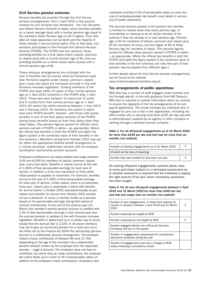# Civil Service pension schemes

Pension benefits are provided through the Civil Service pension arrangements. From 1 April 2015 a new pension scheme for civil servants was introduced – the Civil Servants and Others Pension Scheme or alpha, which provides benefits on a career average basis with a normal pension age equal to the member's State Pension Age (or 65 if higher). From that date all newly appointed civil servants and the majority of those already in service joined alpha. Prior to that date, civil servants participated in the Principal Civil Service Pension Scheme (PCSPS). The PCSPS has four sections: three providing benefits on a final salary basis (classic, premium or classic plus) with a normal pension age of 60, and one providing benefits on a whole career basis (nuvos) with a normal pension age of 65.

These statutory arrangements are unfunded with the cost of benefits met by monies voted by Parliament each year. Pensions payable under classic, premium, classic plus, nuvos and alpha are increased annually in line with Pensions Increase legislation. Existing members of the PCSPS who were within 10 years of their normal pension age on 1 April 2012 remained in the PCSPS after 1 April 2015. Those who were between 10 years and 13 years and 5 months from their normal pension age on 1 April 2012 will switch into alpha sometime between 1 June 2015 and 1 February 2022. All members who switch to alpha have their PCSPS benefits 'banked', with those with earlier benefits in one of the final salary sections of the PCSPS having those benefits based on their final salary when they leave alpha. (The pension figures quoted for officials show pension earned in PCSPS or alpha – as appropriate. Where the official has benefits in both the PCSPS and alpha the figure quoted is the combined value of their benefits in the two schemes.) Members joining from October 2002 may opt for either the appropriate defined benefit arrangement or a 'money purchase' stakeholder pension with an employer contribution (partnership pension account).

Employee contributions are salary-related and range between 4.6% and 8.05% for members of classic, premium, classic plus, nuvos and alpha. Benefits in classic accrue at the rate of 1/80th of final pensionable earnings for each year of service. In addition, a lump sum equivalent to three years initial pension is payable on retirement. For premium, benefits accrue at the rate of 1/60th of final pensionable earnings for each year of service. Unlike classic, there is no automatic lump sum. classic plus is essentially a hybrid with benefits for service before 1 October 2002 calculated broadly as per classic and benefits for service from October 2002 worked out as in premium. In nuvos a member builds up a pension based on his pensionable earnings during their period of scheme membership. At the end of the scheme year (31 March) the member's earned pension account is credited with 2.3% of their pensionable earnings in that scheme year and the accrued pension is uprated in line with Pensions Increase legislation. Benefits in alpha build up in a similar way to nuvos, except that the accrual rate is 2.32%. In all cases members may opt to give up (commute) pension for a lump sum up to the limits set by the Finance Act 2004.The partnership pension account is a stakeholder pension arrangement. The employer makes a basic contribution of between 8% and 14.75% (depending on the age of the member) into a stakeholder pension product chosen by the employee from the appointed provider – Legal & General. The employee does not have to contribute, but where they do make contributions, the employer will match these up to a limit of 3% of pensionable salary (in addition to the employer's basic contribution). Employers also

contribute a further 0.5% of pensionable salary to cover the cost of centrally-provided risk benefit cover (death in service and ill health retirement).

The accrued pension quoted is the pension the member is entitled to receive when they reach pension age, or immediately on ceasing to be an active member of the scheme if they are already at or over pension age. Pension age is 60 for members of classic, premium and classic plus, 65 for members of nuvos, and the higher of 65 or State Pension Age for members of alpha. (The pension figures quoted for officials show pension earned in PCSPS or alpha – as appropriate. Where the official has benefits in both the PCSPS and alpha the figure quoted is the combined value of their benefits in the two schemes, but note that part of that pension may be payable from different ages.)

Further details about the Civil Service pension arrangements can be found at the website www.civilservicepensionscheme.org.uk.

# Tax arrangements of public appointees

RBG Kew has a number of staff engaged under contract and not through payroll. In line with guidance from HM Treasury, RBG Kew is required to publish information about its controls to ensure the regularity of the tax arrangements of its nonpayroll appointees. The scope includes any individual who is engaged to carry out a role in the organisation, including any office holder who is earning more than £245 per day and who is self-employed, supplied by an agency or other company or working through a personal service company:

#### Table 1: For all off-payroll engagements as of 31 March 2020, for more than £245 per day and that last for more than six months (not audited):

| Number of existing engagements as of 31 March 2019 | 3 |
|----------------------------------------------------|---|
| Of which at the time of reporting:                 |   |
| Number that have existed for less than one year    | 3 |

All existing off-payroll engagements, outlined above, have at some point been subject to a risk-based assessment as to whether assurance is required that the individual is paying the right amount of tax and, where necessary, assurance has been sought.

#### Table 2: For all new off-payroll engagements between 1 April 2019 and 31 March 2020 for more than £245 per day and that last longer than six months (not audited):

| Number of new engagements, or those that reached six<br>months in duration, between 1 April 2019 and 31 March<br>2020 | 2 |
|-----------------------------------------------------------------------------------------------------------------------|---|
| Number assessed as caught by IR35                                                                                     |   |
| Number assessed as not caught by IR35                                                                                 | ン |
| Number engaged directly (via a Personal Services<br>Company) and are on the payroll                                   |   |
| Number of engagements reassessed for consistency/<br>assurance purposes during the year                               |   |
| Number of engagements that saw a change to IR35<br>status following a consistency review                              |   |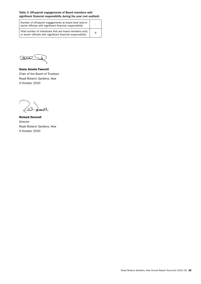#### Table 3: Off-payroll engagements of Board members with significant financial responsibility during the year (not audited):

| Number of off-payroll engagements at board level and/or<br>senior officials with significant financial responsibility     |   |
|---------------------------------------------------------------------------------------------------------------------------|---|
| Total number of individuals that are board members and/<br>or senior officials with significant financial responsibility. | 9 |

**Coope** 

Dame Amelia Fawcett Chair of the Board of Trustees Royal Botanic Gardens, Kew 9 October 2020

للعصلى لملئ )

Richard Deverell Director Royal Botanic Gardens, Kew 9 October 2020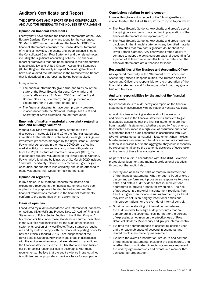# <span id="page-30-0"></span>Auditor's Certificate and Report

# THE CERTIFICATE AND REPORT OF THE COMPTROLLER AND AUDITOR GENERAL TO THE HOUSES OF PARLIAMENT

#### Opinion on financial statements

I certify that I have audited the financial statements of the Royal Botanic Gardens, Kew charity and group for the year ended 31 March 2020 under the National Heritage Act 1983. The financial statements comprise: the Consolidated Statement of Financial Activities, the charity and group Balance Sheets, the Consolidated Cash Flow Statement and the related notes, including the significant accounting policies. The financial reporting framework that has been applied in their preparation is applicable law and United Kingdom Accounting Standards (United Kingdom Generally Accepted Accounting Practice). I have also audited the information in the Remuneration Report that is described in that report as having been audited.

In my opinion:

- The financial statements give a true and fair view of the state of the Royal Botanic Gardens, Kew charity and group's affairs as at 31 March 2020 and of the Royal Botanic Gardens, Kew charity and group income and expenditure for the year then ended; and
- The financial statements have been properly prepared in accordance with the National Heritage Act 1983 and Secretary of State directions issued thereunder.

#### Emphasis of matter – material uncertainty regarding land and buildings valuation

Without qualifying my opinion, I draw attention to the disclosures in notes 2, 11 and 12 to the financial statements in relation to the valuation of the land, dwellings, buildings and investment properties managed by the Royal Botanic Gardens, Kew charity. As set out in the notes, COVID-19 is affecting market activity in many sectors and, in line with guidance from the Royal Institute of Chartered Surveyors (RICS), the independent valuers' valuations of the Royal Botanic Gardens, Kew charity's land and buildings as at 31 March 2020 included "material uncertainty" clauses. This means a higher degree of caution, and therefore less certainty, should be attached to these valuations than would normally be the case.

#### Opinion on regularity

In my opinion, in all material respects the income and expenditure recorded in the financial statements have been applied to the purposes intended by Parliament and the financial transactions recorded in the financial statements conform to the authorities which govern them.

#### Basis of opinions

I conducted my audit in accordance with International Standards on Auditing (ISAs) (UK) and Practice Note 10 'Audit of Financial Statements of Public Sector Entities in the United Kingdom'. My responsibilities under those standards are further described in the Auditor's responsibilities for the audit of the financial statements section of my certificate. Those standards require me and my staff to comply with the Financial Reporting Council's Revised Ethical Standard 2016. I am independent of the Royal Botanic Gardens, Kew charity and group in accordance with the ethical requirements that are relevant to my audit and the financial statements in the UK. My staff and I have fulfilled our other ethical responsibilities in accordance with these requirements. I believe that the audit evidence I have obtained is sufficient and appropriate to provide a basis for my opinion.

#### Conclusions relating to going concern

I have nothing to report in respect of the following matters in relation to which the ISAs (UK) require me to report to you where:

- The Royal Botanic Gardens, Kew charity and group's use of the going concern basis of accounting in preparation of the financial statements is not appropriate; or
- The Royal Botanic Gardens, Kew charity and group have not disclosed in the financial statements any identified material uncertainties that may cast significant doubt about the Royal Botanic Gardens, Kew charity and group's ability to continue to adopt the going concern basis of accounting for a period of at least twelve months from the date when the financial statements are authorised for issue.

#### Responsibilities of the Trustees and Accounting Officer

As explained more fully in the Statement of Trustees' and Accounting Officer's Responsibilities, the Trustees and the Accounting Officer are responsible for the preparation of the financial statements and for being satisfied that they give a true and fair view.

#### Auditor's responsibilities for the audit of the financial statements

My responsibility is to audit, certify and report on the financial statements in accordance with the National Heritage Act 1983.

An audit involves obtaining evidence about the amounts and disclosures in the financial statements sufficient to give reasonable assurance that the financial statements are free from material misstatement, whether caused by fraud or error. Reasonable assurance is a high level of assurance but is not a guarantee that an audit conducted in accordance with ISAs (UK) will always detect a material misstatement when it exists. Misstatements can arise from fraud or error and are considered material if, individually or in the aggregate, they could reasonably be expected to influence the economic decisions of users taken on the basis of these financial statements.

As part of an audit in accordance with ISAs (UK), I exercise professional judgment and maintain professional scepticism throughout the audit. I also:

- Identify and assess the risks of material misstatement of the financial statements, whether due to fraud or error, design and perform audit procedures responsive to those risks, and obtain audit evidence that is sufficient and appropriate to provide a basis for my opinion. The risk of not detecting a material misstatement resulting from fraud is higher than for one resulting from error, as fraud may involve collusion, forgery, intentional omissions, misrepresentations, or the override of internal control.
- Obtain an understanding of internal control relevant to the audit in order to design audit procedures that are appropriate in the circumstances, but not for the purpose of expressing an opinion on the effectiveness of Royal Botanical Gardens, Kew charity and group's internal control.
- Evaluate the appropriateness of accounting policies used and the reasonableness of accounting estimates and related disclosures made by management.
- Evaluate the overall presentation, structure and content of the financial statements, including the disclosures, and whether the consolidated financial statements represent the underlying transactions and events in a manner that achieves fair presentation.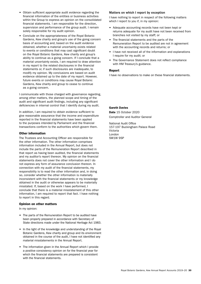- Obtain sufficient appropriate audit evidence regarding the financial information of the entities or business activities within the Group to express an opinion on the consolidated financial statements. I am responsible for the direction, supervision and performance of the group audit. I remain solely responsible for my audit opinion.
- Conclude on the appropriateness of the Royal Botanic Gardens, Kew charity and group's use of the going concern basis of accounting and, based on the audit evidence obtained, whether a material uncertainty exists related to events or conditions that may cast significant doubt on the Royal Botanic Gardens, Kew charity and group's ability to continue as a going concern. If I conclude that a material uncertainty exists, I am required to draw attention in my report to the related disclosures in the financial statements or, if such disclosures are inadequate, to modify my opinion. My conclusions are based on audit evidence obtained up to the date of my report. However, future events or conditions may cause Royal Botanic Gardens, Kew charity and group to cease to continue as a going concern.

I communicate with those charged with governance regarding, among other matters, the planned scope and timing of the audit and significant audit findings, including any significant deficiencies in internal control that I identify during my audit.

In addition, I am required to obtain evidence sufficient to give reasonable assurance that the income and expenditure reported in the financial statements have been applied to the purposes intended by Parliament and the financial transactions conform to the authorities which govern them.

#### Other information

The Trustees and Accounting Officer are responsible for the other information. The other information comprises information included in the Annual Report, but does not include the parts of the Remuneration Report described in that report as having been audited, the financial statements and my auditor's report thereon. My opinion on the financial statements does not cover the other information and I do not express any form of assurance conclusion thereon. In connection with my audit of the financial statements, my responsibility is to read the other information and, in doing so, consider whether the other information is materially inconsistent with the financial statements or my knowledge obtained in the audit or otherwise appears to be materially misstated. If, based on the work I have performed, I conclude that there is a material misstatement of this other information, I am required to report that fact. I have nothing to report in this regard.

# Opinion on other matters

In my opinion:

- The parts of the Remuneration Report to be audited have been properly prepared in accordance with Secretary of State directions made under the National Heritage Act 1983.
- In the light of the knowledge and understanding of the Royal Botanic Gardens, Kew charity and group and its environment obtained in the course of the audit, I have not identified any material misstatements in the Annual Report.
- The information given in the Annual Report which I provide a positive consistency opinion on for the financial year for which the financial statements are prepared is consistent with the financial statements.

#### Matters on which I report by exception

I have nothing to report in respect of the following matters which I report to you if, in my opinion:

- Adequate accounting records have not been kept or returns adequate for my audit have not been received from branches not visited by my staff; or
- The financial statements and the parts of the Remuneration Report to be audited are not in agreement with the accounting records and returns; or
- I have not received all of the information and explanations I require for my audit; or
- The Governance Statement does not reflect compliance with HM Treasury's guidance.

# Report

I have no observations to make on these financial statements.

#### Gareth Davies

Date 15 October 2020 Comptroller and Auditor General

National Audit Office 157-197 Buckingham Palace Road Victoria London SW1W 9SP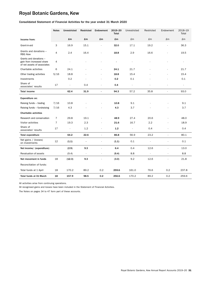#### <span id="page-32-0"></span>Consolidated Statement of Financial Activities for the year ended 31 March 2020

|                                                                                    | <b>Notes</b>   | Unrestricted | <b>Restricted</b> | <b>Endowment</b> | 2019-20<br><b>Total</b> | Unrestricted | Restricted | Endowment | 2018-19<br>Total |
|------------------------------------------------------------------------------------|----------------|--------------|-------------------|------------------|-------------------------|--------------|------------|-----------|------------------|
| Income from:                                                                       |                | £m           | £m                | £m               | £m                      | £m           | £m         | £m        | £m               |
| Grant-in-aid                                                                       | 3              | 16.9         | 15.1              | ÷,               | 32.0                    | 17.1         | 19.2       | à.        | 36.3             |
| Grants and donations -<br><b>RBG Kew</b>                                           | 4              | 2.4          | 16.4              |                  | 18.8                    | 2.9          | 16.6       |           | 19.5             |
| Grants and donations -<br>gain from increased share<br>of net assets of associates | 4              |              |                   |                  |                         |              |            |           | ÷,               |
| Charitable activities                                                              | 6              | 24.1         |                   |                  | 24.1                    | 21.7         |            |           | 21.7             |
| Other trading activities                                                           | 5/16           | 18.8         |                   |                  | 18.8                    | 15.4         |            |           | 15.4             |
| Investments                                                                        |                | 0.2          |                   |                  | 0.2                     | 0.1          |            |           | 0.1              |
| Share of<br>associates' results                                                    | 17             | ä,           | 0.4               |                  | 0.4                     | $\omega$     |            |           | $\sim$           |
| Total income                                                                       |                | 62.4         | 31.9              | $\blacksquare$   | 94.3                    | 57.2         | 35.8       | ä,        | 93.0             |
| Expenditure on:                                                                    |                |              |                   |                  |                         |              |            |           |                  |
| Raising funds - trading                                                            | 7/16           | 10.8         |                   |                  | 10.8                    | 9.1          |            |           | 9.1              |
| Raising funds - fundraising                                                        | 7/16           | 4.3          |                   |                  | 4.3                     | 3.7          |            |           | 3.7              |
| <b>Charitable activities</b>                                                       |                |              |                   |                  |                         |              |            |           |                  |
| Research and conservation                                                          | $\overline{7}$ | 29.8         | 19.1              |                  | 48.9                    | 27.4         | 20.6       |           | 48.0             |
| Visitor activities                                                                 | $\overline{7}$ | 19.3         | 2.3               |                  | 21.6                    | 16.7         | 2.2        |           | 18.9             |
| Share of<br>associates' results                                                    | 17             | J.           | 1.2               |                  | 1.2                     | $\Box$       | 0.4        |           | 0.4              |
| <b>Total expenditure</b>                                                           |                | 64.2         | 22.6              | ÷,               | 86.8                    | 56.9         | 23.2       | ÷.        | 80.1             |
| Net gains / (losses)<br>on investments                                             | 12             | (1.1)        | ä,                | ä,               | (1.1)                   | 0.1          | ÷,         |           | 0.1              |
| Net income/ (expenditure)                                                          |                | (2.9)        | 9.3               | ä,               | 6.4                     | 0.4          | 12.6       |           | 13.0             |
| Revaluation of assets                                                              |                | (9.4)        | ÷.                | ä,               | (9.4)                   | 8.8          | $\sim$     | $\sim$    | 8.8              |
| Net movement in funds                                                              | 18             | (12.3)       | 9.3               |                  | (3.0)                   | 9.2          | 12.6       |           | 21.8             |
| Reconciliation of funds:                                                           |                |              |                   |                  |                         |              |            |           |                  |
| Total funds at 1 April                                                             | 18             | 170.2        | 89.2              | 0.2              | 259.6                   | 161.0        | 76.6       | 0.2       | 237.8            |
| Total funds at 31 March                                                            | 18             | 157.9        | 98.5              | 0.2              | 256.6                   | 170.2        | 89.2       | 0.2       | 259.6            |

All activities arise from continuing operations.

All recognised gains and losses have been included in the Statement of Financial Activities.

The Notes on pages 34 to 47 form part of these accounts.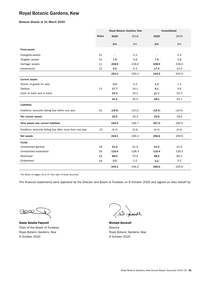#### <span id="page-33-0"></span>Balance Sheets at 31 March 2020

|                                                         | Royal Botanic Gardens, Kew |        | Consolidated |        |        |
|---------------------------------------------------------|----------------------------|--------|--------------|--------|--------|
|                                                         | <b>Notes</b>               | 2020   | 2019         | 2020   | 2019   |
|                                                         |                            | Em     | £m           | £m     | £m     |
|                                                         |                            |        |              |        |        |
| <b>Fixed assets</b>                                     |                            |        |              |        |        |
| Intangible assets                                       | 10                         |        | 0.3          |        | 0.3    |
| Tangible assets                                         | 10                         | 7.9    | 5.8          | 7.9    | 5.8    |
| Heritage assets                                         | 11                         | 208.9  | 218.0        | 208.9  | 218.0  |
| Investments                                             | 12                         | 5.2    | 6.3          | 17.4   | 19.3   |
|                                                         |                            | 222.0  | 230.4        | 234.2  | 243.4  |
| <b>Current assets</b>                                   |                            |        |              |        |        |
| Stocks of goods for sale                                |                            | 0.4    | 0.3          | 1.3    | 1.2    |
| <b>Debtors</b>                                          | 13                         | 17.7   | 16.1         | 9.1    | 9.6    |
| Cash at bank and in hand                                |                            | 23.3   | 19.1         | 27.7   | 22.3   |
|                                                         |                            | 41.4   | 35.5         | 38.1   | 33.1   |
| Liabilities                                             |                            |        |              |        |        |
| Creditors: amounts falling due within one year          | 14                         | (18.9) | (19.2)       | (15.3) | (16.5) |
| Net current assets                                      |                            | 22.5   | 16.3         | 22.8   | 16.6   |
| <b>Total assets less current liabilities</b>            |                            | 244.5  | 246.7        | 257.0  | 260.0  |
| Creditors: amounts falling due after more than one year | 15                         | (0.4)  | (0.4)        | (0.4)  | (0.4)  |
| Net assets                                              |                            | 244.1  | 246.3        | 256.6  | 259.6  |
| <b>Funds</b>                                            |                            |        |              |        |        |
| Unrestricted general                                    | 18                         | 41.5   | 41.9         | 41.5   | 41.9   |
| Unrestricted revaluation                                | 18                         | 116.4  | 128.3        | 116.4  | 128.3  |
| Restricted                                              | 18                         | 86.0   | 75.9         | 98.5   | 89.2   |
| Endowment                                               | 18                         | 0.2    | 0.2          | 0.2    | 0.2    |
|                                                         |                            | 244.1  | 246.3        | 256.6  | 259.6  |

The Notes on pages 34 to 47 form part of these accounts.

The financial statements were approved by the Director and Board of Trustees on 8 October 2020 and signed on their behalf by:

**COOO** 

Dame Amelia Fawcett Chair of the Board of Trustees Royal Botanic Gardens, Kew 9 October 2020

leader le.)

Richard Deverell Director Royal Botanic Gardens, Kew 9 October 2020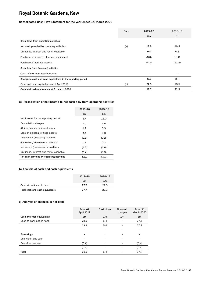# <span id="page-34-0"></span>Consolidated Cash Flow Statement for the year ended 31 March 2020

|                                                             | <b>Note</b> | 2019-20                  | 2018-19                  |
|-------------------------------------------------------------|-------------|--------------------------|--------------------------|
|                                                             |             | £m                       | £m                       |
| Cash flows from operating activities                        |             |                          |                          |
| Net cash provided by operating activities                   | (a)         | 12.9                     | 16.3                     |
| Dividends, interest and rents receivable                    |             | 0.4                      | 0.3                      |
| Purchase of property, plant and equipment                   |             | (3.6)                    | (1.4)                    |
| Purchase of heritage assets                                 |             | (4.3)                    | (11.4)                   |
| Cash flow from financing activities                         |             |                          |                          |
| Cash inflows from new borrowing                             |             | $\overline{\phantom{a}}$ | $\overline{\phantom{a}}$ |
| Change in cash and cash equivalents in the reporting period |             | 5.4                      | 3.8                      |
| Cash and cash equivalents at 1 April 2019                   | (b)         | 22.3                     | 18.5                     |
| Cash and cash equivalents at 31 March 2020                  |             | 27.7                     | 22.3                     |

#### a) Reconciliation of net income to net cash flow from operating activities

|                                           | 2019-20 | 2018-19 |
|-------------------------------------------|---------|---------|
|                                           | £m      | £m      |
| Net income for the reporting period       | 6.4     | 13.0    |
| Depreciation charges                      | 4.7     | 4.6     |
| (Gains)/losses on investments             | 1.9     | 0.3     |
| Loss on disposal of fixed assets          | 1.1     | 0.3     |
| Decrease / (increase) in stock            | (0.1)   | (0.2)   |
| (Increase) / decrease in debtors          | 0.5     | 0.2     |
| Increase / (decrease) in creditors        | (1.2)   | (1.6)   |
| Dividends, interest and rents receivable  | (0.4)   | (0.3)   |
| Net cash provided by operating activities | 12.9    | 16.3    |

#### b) Analysis of cash and cash equivalents

|                                 | 2019-20 | 2018-19 |
|---------------------------------|---------|---------|
|                                 | £m      | £m      |
| Cash at bank and in hand        | 27.7    | 22.3    |
| Total cash and cash equivalents | 27.7    | 22.3    |

#### c) Analysis of changes in net debt

|                           | As at 01<br><b>April 2019</b> | Cash flows  | Non-cash<br>changes | As at $31$<br>March 2020 |
|---------------------------|-------------------------------|-------------|---------------------|--------------------------|
| Cash and cash equivalents | £m                            | $\pounds$ m | $\pounds$ m         | $\pounds$ m              |
| Cash at bank and in hand  | 22.3                          | 5.4         | ٠                   | 27.7                     |
|                           | 22.3                          | 5.4         | ٠                   | 27.7                     |
|                           | ۰                             | ٠           | ٠                   | ٠                        |
| <b>Borrowings</b>         | ۰                             | ٠           | ٠                   | ٠                        |
| Due within one year       | ٠                             | ٠           | ٠                   | ٠                        |
| Due after one year        | (0.4)                         | ٠           | ٠                   | (0.4)                    |
|                           | (0.4)                         | ٠           | ٠                   | (0.4)                    |
| Total                     | 21.9                          | 5.4         | ٠                   | 27.3                     |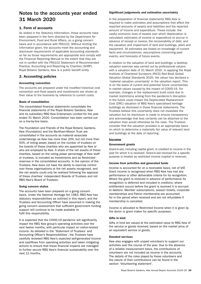# <span id="page-35-0"></span>Notes to the accounts year ended 31 March 2020

# 1. Form of accounts

As stated in the Statutory Information, these accounts have been prepared in the form directed by the Department for Environment, Food and Rural Affairs, on a going concern basis and in accordance with FRS102. Without limiting the information given, the accounts meet the accounting and disclosure requirements of applicable accounting standards so far as those requirements are appropriate and comply with the Financial Reporting Manual to the extent that they are not in conflict with the FRS102 Statement of Recommended Practice, Accounting and Reporting by Charities (SORP). Royal Botanic Gardens, Kew is a public benefit entity.

# 2. Accounting policies

# Accounting convention

The accounts are prepared under the modified historical cost convention and fixed assets and investments are shown at their value to the business by reference to current costs.

#### Basis of consolidation

The consolidated financial statements consolidate the financial statements of the Royal Botanic Gardens, Kew and its subsidiary RBG Kew Enterprises Limited for the year ended 31 March 2020. Consolidation has been carried out on a line-by-line basis.

The Foundation and Friends of the Royal Botanic Gardens, Kew (Foundation) and the Bentham-Moxon Trust are consolidated in the accounts as material associate undertakings as Kew has more than 20%, but not more than 50%, of voting power, based on the number of trustees on the boards of these charities who are appointed by Kew or who are employed by Kew. A share of the net assets of these charities, based on the voting power percentage of Kew staff or trustees, is included as Investments and as Restricted reserves in the consolidated accounts. In the opinion of the Trustees, Kew does not have the ability to exercise control over these organisations or the net assets recognised, and the net assets could only be realised following the approval of these charities' independent Boards of Trustees and not RBG Kew's Board of Trustees.

#### Going concern status

The accounts have been prepared on a going concern basis. Under the National Heritage Act 1983, RBG Kew has statutory responsibilities as outlined in this report, and the Trustees and Accounting Officer have assumed in making the going concern assessment that sufficient government funding support will continue to be made available to fulfil this responsibility.

It is expected that the COVID-19 pandemic will significantly impact the RBG Kew group's operating activities over the next twelve months, with particular impact on visitor-related income. As detailed in the 'Statement of Trustees' and Accounting Officer's Responsibilities', the Trustees have carefully reviewed RBG Kew's expected self-generated income and cashflows from operating activities and taken mitigating actions to ensure that these financial impacts are managed to further secure RBG Kew's financial sustainability over the next 12 months.

#### Significant judgements and estimation uncertainty

In the preparation of financial statements RBG Kew is required to make estimates and assumptions that affect the reported amounts of assets and liabilities and the reported amount of income and expenditure. These include: the useful economic lives of assets over which depreciation is calculated, estimates of income or expenditure to accrue in advance of receipt or invoice, the recoverability of debt, and the valuation and impairment of land and buildings, plant and equipment. All estimates are based on knowledge of current facts and circumstances, assumptions concerning past events, and forecasts of future events.

In relation to the valuation of land and buildings, a desktop valuation exercise was carried out by professional valuers with a valuation date of 31 March 2020. In applying the Royal Institute of Chartered Surveyors (RICS) Red Book Global Valuation Global Standards 2020, the valuer has declared a 'material valuation uncertainty' in the valuation report. This is on the basis of current and potential future uncertainties in market values caused by the impact of COVID-19. For example, changes in the replacement build costs due to market restrictions arising from the pandemic's disruption in the future could impact the Depreciated Replacement Cost (DRC) valuation of RBG Kew's specialised heritage buildings as disclosed in these financial statements. The Trustees believe this uncertainty does not invalidate the valuation but its disclosure is made to ensure transparency and acknowledge that less certainty can be attached to the valuation than would otherwise be the case. The Trustees consider that the valuation provided is an appropriate basis on which to determine a materially fair value of relevant land and buildings at the date of reporting.

# Income

#### Government grants

Grant-in-aid, including capital grant, is credited to income in the year for which it is received. Grant-in-aid received for a specific purpose is treated as restricted income (capital or revenue).

#### Income from activities and generated funds

Income is accounted for on a receivable basis, net of VAT. Grant income is recognised when RBG Kew has met any performance or other deliverable criteria for its recognition. Where the grant is received in advance of performance its recognition is deferred and included in creditors; where entitlement occurs before the grant is received it is accrued to debtors. Member subscriptions, season tickets, corporate memberships and Patron membership are accounted for in the period when received and are not refundable if membership is cancelled.

Income is allocated to Restricted Income when it is given by the donor or grant maker for specific purposes.

#### Gifts in kind

Gifts in kind are valued at the estimated value to RBG Kew of the service or goods received, based on the market price of an equivalent service or goods.

#### Donated services

Kew also engages with unpaid volunteers to support our activities over the course of the year. Due to the absence of a reliable measurement basis, the contributions of volunteers are not included as income in the accounts. The details of the roles played by these volunteers and the nature of their contributions can be found in the section 'Volunteering statement'.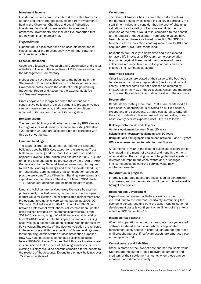#### Investment income

Investment income comprises interest receivable from cash at bank and short-term deposits, income from investments held in the Churches, Charities and Local Authorities Investment Fund and income relating to investment properties. Investments also includes five properties that are now being commercially let.

#### Expenditure

Expenditure is accounted for on an accruals basis and is classified under the relevant activity within the Statement of Financial Activities.

#### Expense allocation

Costs are allocated to Research and Conservation and Visitor Activities in line with the objectives of RBG Kew as set out in the Management Commentary.

Indirect costs have been allocated to the headings in the Statement of Financial Activities on the basis of headcount. Governance costs include the costs of strategic planning, the Annual Report and Accounts, the external audit fee and Trustees' expenses.

Grants payable are recognised when the criteria for a constructive obligation are met, payment is probable, values can be measured reliably, and there are no conditions attached to its payment that limit its recognition.

#### Heritage assets

The land and buildings and collections used by RBG Kew are Heritage Assets as defined by Financial Reporting Standard 102 (section 34) and are accounted for in accordance with this as set out below.

#### Land and buildings

The Board of Trustees does not hold title to the land and buildings used by RBG Kew, except for the Wellcome Trust Millennium Building and the land it is situated on, and the adjacent Havelock Farm, which was acquired in 2012–13. The remaining land and buildings are owned by the Crown at Kew Gardens and by the National Trust at Wakehurst. As required by FRS102, existing buildings and their associated land used for fundraising, administration or accommodation purposes plus the Wellcome Trust Millennium Building were valued and capitalised on the Balance Sheet at 31 March 2001 (Note 11). Subsequent additions are included initially at cost.

Land and buildings are revalued every five years by external professionally qualified valuers, on the basis of either open market value for existing use or depreciated replacement cost. Professional revaluations were carried out during 2001–02, 2006–07, 2011–12 and 2016–17. Up until 2018–19, in between professional revaluations, values have been updated using indices provided by the professional valuers. For the 2019–20 accounts, in light of additional uncertainty arising from COVID-19 and its potential impact on land and building asset values, a desktop valuation exercise was undertaken by Kew's valuer. The results of this desktop valuation are reflected in these accounts. With the exception of those buildings used for fundraising, administration or accommodation purposes, RBG Kew has not capitalised heritage buildings acquired before 2001–02. Under Charities SoRP this is allowable where it is considered that the cost of obtaining valuations for other existing buildings would be onerous compared to the benefit to the readers of the Accounts. Expenditure on new buildings over £0.25m is capitalised.

#### **Collections**

The Board of Trustees has reviewed the costs of valuing the heritage assets by collection including, in particular, the staff time involved and consider that the cost of obtaining valuations for all existing collections would be onerous, because of the time it would take, compared to the benefit to the readers of the Accounts. Therefore, no values have been placed on these as allowed by section 34 FRS102. New items to the collections costing more than £2,000 and acquired after 2001, are capitalised.

Collections are unlikely to depreciate and are expected to have a life in excess of 50 years, so no depreciation is provided against them. Impairment reviews of these collections are undertaken on a five-year basis and when changes in circumstances dictate.

#### Other fixed assets

Other fixed assets are stated at their value to the business by reference to cost less depreciation (previously at current costs). Historical costs are not disclosed as required by FRS102 as, in the view of the Accounting Officer and the Board of Trustees, this adds no information of value to the Accounts.

#### Depreciation

Capital items costing more than £2,000 are capitalised as fixed assets. Depreciation is provided on all fixed assets, except land and collections, at rates calculated to write off the cost or valuation, less estimated residual value, of each asset evenly over its expected useful life, as follows:

Buildings: between 20 and 80 years Gardens equipment: between 5 and 20 years Scientific and laboratory equipment: over 10 years Computer and photographic equipment: between 3 and 10 years Office equipment and motor vehicles: over 5 years

A full month (or year in the case of buildings) of depreciation is charged in the month of disposal and none in the month of acquisition. The carrying value of tangible fixed assets is reviewed for impairment when events and/or changes in circumstances indicate the carrying value may not be recoverable.

#### Construction in progress

Internally generated assets are recognised as construction in progress, and not depreciated until the completed asset is brought into service.

#### Research and Development

Expenditure on research activities is written off as incurred, due to the inherent uncertainty surrounding the economic benefit resulting from the asset. Capitalisation of development costs is contingent on fulfilment of the criteria noted in FRS102 section 18.

#### Intangible fixed assets

When fully operational in the business, internally generated software is stated at fair value, which is depreciated replacement cost. Assets in construction are not amortised until brought into use. IT software assets are amortised over a three-year period.

#### Current assets and liabilities

Stock is stated at the lower of cost and net realisable value. Debtors are measured at their recoverable amounts and creditors at their settlement amounts when these can be measured or estimated reliably.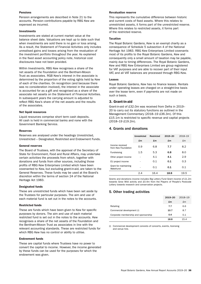#### Pensions

Pension arrangements are described in Note 21 to the accounts. Pension contributions payable by RBG Kew are expensed as incurred.

#### Investments

Investments are stated at current market value at the balance sheet date. Valuations are kept up to date such that when investments are sold there is no gain or loss arising. As a result, the Statement of Financial Activities only includes unrealised gains and losses arising from the revaluation of the investment portfolio throughout the year. As explained in the fixed asset accounting policy note, historical cost disclosures have not been provided.

Within Investments, RBG Kew recognises a share of the net assets of the Foundation and the Bentham-Moxon Trust as associates. RGB Kew's interest in the associate is determined by the proportion of the voting rights held by Kew of each of the charities. On recognition (and because there was no consideration involved), the interest in the associate is accounted for as a gift and recognised as a share of the associate net assets on the Statement of Financial Activities. In subsequent years the carrying amount is adjusted to reflect RBG Kew's share of the net assets and the results of the associates.

#### Net liquid resources

Liquid resources comprise short term cash deposits. All cash is held in commercial banks and none with the Government Banking Service.

#### Reserves

Reserves are analysed under the headings Unrestricted, Unrestricted – Designated, Restricted and Endowment Funds.

#### General reserves

The Board of Trustees, with the approval of the Secretary of State for Environment, Food and Rural Affairs, may undertake certain activities the proceeds from which, together with donations and funds from other sources, including those profits of RBG Kew Enterprises Limited which have been covenanted to Kew, but excluding grant-in-aid, are taken to the General Reserves. These funds may be used at the Board's discretion within the terms of section 24 of the National Heritage Act 1983.

#### Designated funds

These are unrestricted funds which have been set aside by the Trustees for particular purposes. The aim and use of each material fund is set out in the notes to the accounts.

#### Restricted funds

These are funds which have been given to Kew for specific purposes by donors. The aim and use of each material restricted fund is set out in the notes to the accounts. Kew recognises a share of the net assets of the Foundation and the Bentham-Moxon Trust as associates in line with the relevant accounting standards. These are restricted funds for which RBG Kew has no control or ability to utilise.

#### Endowment funds

These are capital funds where Trustees have no power to convert the capital to income. However, the income generated by these funds can be used for the purposes for which the endowment was given.

#### Revaluation reserve

This represents the cumulative difference between historic and current costs of fixed assets. Where this relates to unrestricted assets, it forms part of the unrestricted reserve. Where this relates to restricted assets, it forms part of the restricted reserve.

#### **Taxation**

The Royal Botanic Gardens, Kew is an exempt charity as a consequence of Schedule 5 subsection 4 of the National Heritage Act 1983. RBG Kew Enterprises Limited covenants most of its profits to the Royal Botanic Gardens, Kew and consequently only a small amount of taxation may be payable, mainly due to timing differences. The Royal Botanic Gardens, Kew and RBG Kew Enterprises Limited are group registered for VAT purposes and are able to recover part of their input VAT, and all VAT balances are processed through RBG Kew.

#### Leases

Royal Botanic Gardens, Kew has no finance leases. Rentals under operating leases are charged on a straight-line basis over the lease term, even if payments are not made on such a basis.

# 3. Grant-in-aid

Grant-in-aid of £32.0m was received from Defra in 2019– 20 to carry out its statutory functions as outlined in the Management Commentary (2018–19 £36.3m). Of this £15.1m is restricted to specific revenue and capital projects (2018–19 £19.2m).

# 4. Grants and donations

|                                        | Unrestricted | <b>Restricted</b> | $2019 - 20$ | 2018-19     |
|----------------------------------------|--------------|-------------------|-------------|-------------|
|                                        | £m           | £m                | £m          | $\pounds$ m |
| Income received<br>from Kew Foundation | 0.9          | 6.8               | 7.7         | 8.2         |
| Fundraising                            | 1.5          | 5.3               | 6.8         | 8.0         |
| Other project income                   |              | 4.1               | 4.1         | 2.9         |
| EU project income                      |              | 0.1               | 0.1         | 0.3         |
| Grant for maintaining<br>Wakehurst     |              | 0.1               | 0.1         | 0.1         |
|                                        | 2.4          | 16.4              | 18.8        | 19.5        |

Grants and donations income includes Big Lottery Fund Grant income of £1.2m towards Grow Wild activity and £0.4m from the Players of People's Postcode Lottery towards research and conservation projects.

# 5. Other trading activities

|                                      | 2019-20 | 2018-19 |
|--------------------------------------|---------|---------|
|                                      | £m      | £m      |
| Retailing                            | 7.7     | 6.6     |
| Commercial development (i)           | 10.7    | 8.7     |
| Corporate membership and sponsorship | 0.4     | 0.1     |
|                                      | 18.8    | 15.4    |

(i) Commercial development consists of concerts, events, licensing and venue hire.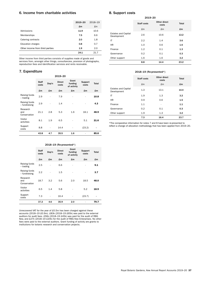#### 6. Income from charitable activities

|                                 | 2019-20 | 2018-19     |
|---------------------------------|---------|-------------|
|                                 | £m      | $\pounds$ m |
| Admissions                      | 11.9    | 10.6        |
| Memberships                     | 7.5     | 6.6         |
| Catering contracts              | 2.0     | 1.8         |
| <b>Education charges</b>        | 0.8     | 0.7         |
| Other income from third parties | 1.9     | 2.0         |
|                                 | 24.1    | 21.7        |

Other income from third parties consists of supplies made of goods and services from, amongst other things, consultancies, provision of photographs, reproduction fees and identification services and rents receivable.

### 7. Expenditure

#### 2019–20

|                                 | <b>Staff</b><br>costs | Dep'n | <b>Direct</b><br>costs | Grant<br>funding<br>of activity | <b>Support</b><br>costs | Total |
|---------------------------------|-----------------------|-------|------------------------|---------------------------------|-------------------------|-------|
|                                 | £m                    | £m    | £m                     | £m                              | £m                      | £m    |
| Raising funds<br>– trading      | 2.9                   | ٠     | 7.9                    |                                 |                         | 10.8  |
| Raising funds<br>- fundraising  | 2.9                   |       | 1.4                    |                                 |                         | 4.3   |
| Research<br>and<br>Conservation | 21.1                  | 2.8   | 5.3                    | 1.6                             | 18.1                    | 48.9  |
| Visitor<br>activities           | 8.1                   | 1.9   | 6.5                    | $\overline{a}$                  | 5.1                     | 21.6  |
| Support<br>costs                | 8.8                   | ٠     | 14.4                   |                                 | (23.2)                  |       |
|                                 | 43.8                  | 4.7   | 35.5                   | 1.6                             |                         | 85.6  |

# 8. Support costs

|                                           | 2019-20     |                       |       |  |  |
|-------------------------------------------|-------------|-----------------------|-------|--|--|
|                                           | Staff costs | Other direct<br>costs | Total |  |  |
|                                           | $\pounds$ m | £m                    | £m    |  |  |
| <b>Estates and Capital</b><br>Development | 2.6         | 10.6                  | 13.2  |  |  |
| IT                                        | 2.2         | 1.4                   | 3.6   |  |  |
| HR.                                       | 1.0         | 0.6                   | 1.6   |  |  |
| Finance                                   | 1.2         | 0.1                   | 1.3   |  |  |
| Governance                                | 0.2         | 0.1                   | 0.3   |  |  |
| Other support                             | 1.6         | 1.6                   | 3.2   |  |  |
|                                           | 8.8         | 14.4                  | 23.2  |  |  |

#### 2018–19 (Re-presented\*)

|                                           | Staff costs | Other direct<br>costs | Total |
|-------------------------------------------|-------------|-----------------------|-------|
|                                           | £m          | $\pounds$ m           | £m    |
| <b>Estates and Capital</b><br>Development | 1.3         | 13.1                  | 14.4  |
| ΙT                                        | 1.9         | 1.3                   | 3.2   |
| <b>HR</b>                                 | 0.9         | 0.6                   | 1.5   |
| Finance                                   | 1.1         | ٠                     | 1.1   |
| Governance                                | 0.2         | 0.1                   | 0.3   |
| Other support                             | 1.9         | 1.3                   | 3.2   |
|                                           | 7.3         | 16.4                  | 23.7  |

\*The comparative information for notes 7 and 8 have been re-presented to reflect a change of allocation methodology that has been applied from 2019–20.

#### 2018–19 (Re-presented\*)

|                                 | <b>Staff</b><br>costs | Dep'n | <b>Direct</b><br>costs | Grant<br>funding<br>of activity | <b>Support</b><br>costs | Total |
|---------------------------------|-----------------------|-------|------------------------|---------------------------------|-------------------------|-------|
|                                 | £m                    | £m    | £m                     | £m                              | £m                      | £m    |
| Raising funds<br>– trading      | 2.5                   |       | 6.6                    | $\overline{a}$                  |                         | 9.1   |
| Raising funds<br>- fundraising  | 2.2                   |       | 1.5                    | ٠                               |                         | 3.7   |
| Research<br>and<br>Conservation | 18.7                  | 3.2   | 5.6                    | 2.0                             | 18.5                    | 48.0  |
| Visitor<br>activities           | 6.5                   | 1.4   | 5.8                    |                                 | 5.2                     | 18.9  |
| Support<br>costs                | 7.3                   |       | 16.4                   | ٠                               | (23.7)                  |       |
|                                 | 37.2                  | 4.6   | 35.9                   | 2.0                             |                         | 79.7  |

Unrecovered VAT for the year of £0.5m has been charged against these accounts (2018–19 £0.9m). £83k (2018–19 £65k) was paid to the external auditors for audit fees. £56k (2018–19 £45k) was paid for the audit of RBG Kew, and £27k (2018–19 £20k) for the audit of RBG Kew Enterprises. No other fees were paid to the external auditors. Grant funding of activity are grants to institutions for botanic research and conservation projects.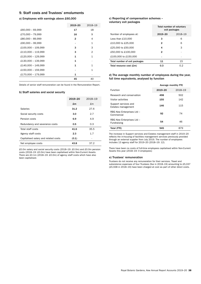# 9. Staff costs and Trustees' emoluments

#### a) Employees with earnings above £60,000

|                    | 2019-20      | 2018-19 |
|--------------------|--------------|---------|
| £60,000 - 69,999   | 17           | 18      |
| £70,000 - 79,999   | 16           | 9       |
| $£80,000 - 89,999$ | $\mathbf{2}$ | 4       |
| $£90,000 - 99,999$ |              | 1       |
| £100,000 - 109,999 | 3            | 3       |
| £110,000 - 119,999 | 3            | 2       |
| £120,000 - 129,999 | 1            | 1       |
| £130,000 - 139,999 | 1            |         |
| £140,000 - 149,999 | 1            | 1       |
| £150,000 - 159,999 |              | 1       |
| £170,000 - 179,999 | 1            |         |
|                    | 45           | 40      |

Details of senior staff remuneration can be found in the Remuneration Report.

#### b) Staff salaries and social security

|                                      | 2019-20 | 2018-19     |
|--------------------------------------|---------|-------------|
|                                      | £m      | $\pounds$ m |
| Salaries                             | 31.2    | 27.6        |
| Social security costs                | 3.0     | 2.7         |
| Pension costs                        | 6.9     | 4.9         |
| Redundancy and severance costs       | 0.5     | 0.3         |
| Total staff costs                    | 41.6    | 35.5        |
| Agency staff costs                   | 2.3     | 1.7         |
| Capitalised salary and related costs | (0.1)   | ٠           |
| Net employee costs                   | 43.8    | 37.2        |

£0.0m salary and social security costs (2018–19: £0.0m) and £0.0m pension costs (2018–19: £0.0m) have been capitalised within Non-Current Assets. There are £0.1m (2018–19: £0.0m) of agency staff costs which have also been capitalised.

#### c) Reporting of compensation schemes – voluntary exit packages

|                               | Total number of voluntary<br>exit packages |         |  |
|-------------------------------|--------------------------------------------|---------|--|
| Number of employees at:       | 2019-20                                    | 2018-19 |  |
| Less than $£10,000$           | 3                                          | 6       |  |
| £10,000 to £25,000            | 2                                          | 6       |  |
| £25,000 to £50,000            | 4                                          | 3       |  |
| £50,000 to £100,000           | 2                                          |         |  |
| £100,000 to £150,000          |                                            |         |  |
| Total number of exit packages | 11                                         | 15      |  |
| Total resource cost (£m)      | 0.3                                        | 0.2     |  |

#### d) The average monthly number of employees during the year, full time equivalents, analysed by function

|                                            | Average monthly FTE |         |  |
|--------------------------------------------|---------------------|---------|--|
| Function                                   | 2019-20             | 2018-19 |  |
| Research and conservation                  | 498                 | 502     |  |
| Visitor activities                         | 155                 | 142     |  |
| Support services and<br>Estates management | 146                 | 115     |  |
| RBG Kew Enterprises Ltd -<br>Commercial    | 92                  | 74      |  |
| RBG Kew Enterprises Ltd -<br>Fundraising   | 54                  | 46      |  |
| Total (FTE)                                | 945                 | 879     |  |

The increase in Support services and Estates management staff in 2019–20 reflects the in-housing of facilities management services previously provided through an external supplier from July 2019. The number of employees includes 13 agency staff for 2019–20 (2018–19: 12).

There have been no costs of full-time employees capitalised within Non-Current Assets this year (2018–19: 0 employees)

#### e) Trustees' remuneration

Trustees do not receive any remuneration for their services. Travel and subsistence expenses of four Trustees (five in 2018–19) amounting to £5,037 (£5,938 in 2018–19) have been charged at cost as part of other direct costs.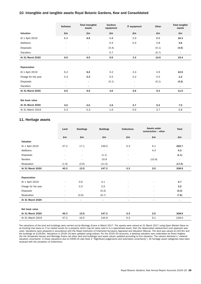# 10. Intangible and tangible assets Royal Botanic Gardens, Kew and Consolidated

|                     | <b>Software</b>          | <b>Total intangible</b><br>assets | Gardens<br>equipment | IT equipment             | Other                    | <b>Total tangible</b><br>assets |
|---------------------|--------------------------|-----------------------------------|----------------------|--------------------------|--------------------------|---------------------------------|
| Valuation           | £m                       | £m                                | £m                   | £m                       | £m                       | £m                              |
| At 1 April 2019     | 6.5                      | 6.5                               | 4.8                  | 2.9                      | 8.6                      | 16.3                            |
| Additions           | $\overline{\phantom{a}}$ | $\overline{\phantom{a}}$          | 0.4                  | 0.4                      | 2.8                      | 3.6                             |
| Disposals           | ٠                        | $\overline{\phantom{a}}$          | (0.4)                | $\overline{\phantom{a}}$ | (0.1)                    | (0.5)                           |
| Transfers           | $\sim$                   | ٠                                 | 0.7                  | $\overline{\phantom{a}}$ | (0.7)                    | $\blacksquare$                  |
| At 31 March 2020    | 6.5                      | 6.5                               | 5.5                  | 3.3                      | 10.6                     | 19.4                            |
|                     |                          |                                   |                      |                          |                          |                                 |
| Depreciation        |                          |                                   |                      |                          |                          |                                 |
| At 1 April 2019     | 6.2                      | 6.2                               | 3.2                  | 2.4                      | 4.9                      | 10.5                            |
| Charge for the year | 0.3                      | 0.3                               | 0.5                  | 0.2                      | 0.5                      | 1.2                             |
| Disposals           | $\overline{\phantom{a}}$ | $\blacksquare$                    | (0.1)                | $\overline{\phantom{a}}$ | (0.1)                    | (0.2)                           |
| Transfers           | $\overline{\phantom{a}}$ | ۰                                 | $\sim$               | $\overline{\phantom{a}}$ | $\overline{\phantom{a}}$ | ٠                               |
| At 31 March 2020    | 6.5                      | 6.5                               | 3.6                  | 2.6                      | 5.3                      | 11.5                            |
|                     |                          |                                   |                      |                          |                          |                                 |
| Net book value      |                          |                                   |                      |                          |                          |                                 |
| At 31 March 2020    | 0.0                      | 0.0                               | 1.9                  | 0.7                      | 5.3                      | 7.9                             |
| At 31 March 2019    | 0.3                      | 0.3                               | 1.6                  | 0.5                      | 3.7                      | 5.8                             |

# 11. Heritage assets

|                     | Land                     | <b>Dwellings</b>         | <b>Buildings</b>         | <b>Collections</b> | Assets under<br>construction - other | <b>Total</b>   |
|---------------------|--------------------------|--------------------------|--------------------------|--------------------|--------------------------------------|----------------|
|                     | £m                       | £m                       | £m                       | £m                 | £m                                   | $\mathbf{f}$ m |
| Valuation           |                          |                          |                          |                    |                                      |                |
| At 1 April 2019     | 47.2                     | 17.1                     | 149.0                    | 0.3                | 9.1                                  | 222.7          |
| Additions           | $\overline{\phantom{a}}$ | ٠                        | $\overline{\phantom{a}}$ | ٠                  | 4.3                                  | 4.3            |
| Disposals           | ×                        | $\frac{1}{2}$            | (1.1)                    | ٠                  | ÷,                                   | (1.1)          |
| Transfers           | $\overline{\phantom{a}}$ | $\overline{\phantom{a}}$ | 10.9                     | ٠                  | (10.9)                               | $\sim$         |
| Revaluation         | (1.9)                    | (3.6)                    | (11.5)                   | $\blacksquare$     | $\blacksquare$                       | (17.0)         |
| At 31 March 2020    | 45.3                     | 13.5                     | 147.3                    | 0.3                | 2.5                                  | 208.9          |
|                     |                          |                          |                          |                    |                                      |                |
| Depreciation        |                          |                          |                          |                    |                                      |                |
| At 1 April 2019     | $\sim$                   | 0.6                      | 4.1                      |                    | $\sim$                               | 4.7            |
| Charge for the year | ٠                        | 0.3                      | 2.9                      |                    | $\overline{\phantom{a}}$             | 3.2            |
| Disposals           | ٠                        | $\overline{\phantom{a}}$ | (0.3)                    | ٠                  | $\overline{\phantom{a}}$             | (0.3)          |
| Revaluation         | $\sim$                   | (0.9)                    | (6.7)                    | ٠                  | $\overline{\phantom{a}}$             | (7.6)          |
| At 31 March 2020    | ×.                       | $\blacksquare$           | $\blacksquare$           |                    | $\sim$                               | $\blacksquare$ |
|                     |                          |                          |                          |                    |                                      |                |
| Net book value      |                          |                          |                          |                    |                                      |                |
| At 31 March 2020    | 45.3                     | 13.5                     | 147.3                    | 0.3                | 2.5                                  | 208.9          |
| At 31 March 2019    | 47.2                     | 16.5                     | 144.9                    | 0.3                | 9.1                                  | 218.0          |

The valuations of the land and buildings were carried out by Montagu Evans in March 2017. The assets were valued at 31 March 2017 using Open Market Value on an Existing Use basis or, if no market exists for a property, which may be rarely sold or is a specialised asset, then the depreciated replacement cost approach was used. Valuations were prepared in accordance with the Royal Institution of Chartered Surveyors Appraisal and Valuation Manual. The land was valued at £43.9m and the buildings at £109.8m. Valuations in 2018–19 were updated using indices. For the 2019–20 accounts, a desktop valuation was undertaken by Powis Hughes (for the Temperate House) and Montagu Evans (all other land and buildings) and asset values updated according to this valuation. The valuers declared a 'material valuation uncertainty' in these valuations due to COVID-19 (see Note 2 "Significant judgements and estimation uncertainty"). All heritage asset categories have been revalued with the exception of Collections.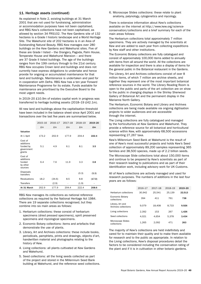# 11. Heritage assets (continued)

As explained in Note 2, existing buildings at 31 March 2001 that are not used for fundraising, administration or accommodation purposes have not been capitalised, and RBG Kew's collections have not been capitalised, as allowed by section 34 FRS102. The Kew Gardens site of 132 hectares is a Grade I historic landscape and a World Heritage Site. The Wakehurst site of 202 hectares is in an Area of Outstanding Natural Beauty. RBG Kew manages over 280 buildings on the Kew Gardens and Wakehurst sites. Five of these are Grade I listed – the Orangery, Pagoda, Palm House, Temperate House and Wakehurst Mansion – and there are 37 Grade II listed buildings. The age of the buildings ranges from the 19th century through to the 21st century. RBG Kew occupies Crown land and buildings and does not currently have express obligations to undertake and hence provide for ongoing or accumulated maintenance for that land and buildings. Maintenance is undertaken and paid for in cooperation with Defra. RBG Kew has a ten year Forward Maintenance Programme for its estate. Funds available for maintenance are prioritised by the Executive Board to the most urgent needs.

In 2019–20 £10.9m of estates capital work in progress was transferred to heritage building assets (2018–19 £42.1m).

All new land and buildings above the capitalisation threshold have been included in the balance sheet since April 2001 and transactions over the last five years are summarised below.

|                                                           | $2015 - 16$    | 2016-17 | $2017 - 18$ | 2018-19 | 2019-20 |
|-----------------------------------------------------------|----------------|---------|-------------|---------|---------|
|                                                           | £m             | £m      | £m          | £m      | £m      |
| Valuation                                                 |                |         |             |         |         |
| At 1 April                                                | 173.2          | 202.9   | 177.9       | 204.4   | 222.4   |
| Cost of<br>additions<br>funded by<br>government<br>grants | 5.1            | 4.9     | 6.1         | 8.1     | 3.5     |
| Cost of<br>additions<br>funded<br>by other<br>sources     | 6.4            | 7.6     | 11.9        | 3.3     | 0.8     |
| Disposals<br>transfers                                    |                |         |             | (0.3)   | (1.1)   |
| <b>Revaluations</b>                                       | 18.2           | (34.6)  | 8.5         | 8.8     | (17.0)  |
| <b>Transfers</b>                                          | $\overline{a}$ | (2.9)   | ٠           | (1.9)   |         |
| At 31 March                                               | 202.9          | 177.9   | 204.4       | 222.4   | 208.6   |

RBG Kew manages its collections as national reference collections as required by the National Heritage Act 1984. There are 19 separate collections recognised, but they combine into six main areas as follows:

- 1. Herbarium collections: these consist of herbarium specimens (dried pressed specimens), spirit preserved specimens and mycological specimens.
- 2. Economic Botany collections: items and artefacts that demonstrate the use of plants.
- 3. Library, Art and Archives collections: these include books, periodicals, pamphlets, prints and drawings, objects d'art, handwritten material and photographs relating to the history of Kew.
- 4. Living collections: all plants cultivated at Kew Gardens and Wakehurst.
- 5. Seed collections: all the living seeds collected as part of the project and stored in the Millennium Seed Bank building at Wakehurst, and the reference seed collections.

6. Microscope Slides collections: these relate to plant anatomy, palynology, cytogenetics and mycology.

There is extensive information about Kew's collections available on the internet at http://www.kew.org/scienceconservation/collections and a brief summary for each of the main areas follows:

The Herbarium collections total approximately 7 million specimens. They are actively managed by the scientists at Kew and are added to each year from collecting expeditions by Kew staff and other institutions.

The Economic Botany collections are fully catalogued and consist of approximately 100,000 items added to annually with items from all around the world. All the collections are available for inspection and there is also a display of items for the general public in the Botanical restaurant in the Gardens.

The Library, Art and Archives collections consist of over 8 million items, of which 7 million are archive sheets, and together they represent one of the most important botanical reference sources in the world. The Library Reading Room is open to the public and parts of the art collection are on show to the public in changing displays in the Shirley Sherwood Gallery of Botanical Art and the permanent display in the Marianne North Gallery.

The Herbarium, Economic Botany and Library and Archives collections are being made available via ongoing digitisation projects to wider audiences and are accessible through the internet.

The Living collections are fully catalogued and managed by the horticulturists at Kew Gardens and Wakehurst. They provide a reference source for all botanical and horticultural science within Kew, with approximately 68,500 accessions representing 27,267 taxa.

Kew's Millennium Seed Bank at Wakehurst is the result of one of Kew's most successful projects and holds Kew's Seed collection of approximately 89,200 samples representing 365 families and 38,500 species, made up of 2.2 billion seeds.

The Microscope Slide collections total about 150,000 items and continue to be prepared by Kew's scientists as part of their research leading to publications and as part of their identification work, including advisory work for UK Customs.

All of Kew's collections are actively managed and used for research purposes. The numbers of additions in the last four years are as follows:

|                                          | 2016-17 | $2017 - 18$ | 2018-19 | 2019-20 |
|------------------------------------------|---------|-------------|---------|---------|
| Herbarium collections                    | 30.942  | 25.541      | 25,139  | 22.513  |
| Economic Botany<br>collections           | 394     | 411         | 761     | 738     |
| Library, Art and<br>Archives collections | 9.079   | 18,408      | 8.733   | 9.926   |
| Living collections                       | 2.392   | 153         | 267     | 1.426   |
| Seed collections                         | 4.021   | 4.654       | 5.378   | 3.434   |
| Microscope Slides<br>collections         | 1.265   | 2.092       | 471     | 263     |

The majority of Kew's collections are held indefinitely and cared for to maintain their quality and to make them available for research and to the public as appropriate. In relation to the Living collections, Kew's disposal procedures detail the factors to be considered including the conservation rating of the plant and if it is in cultivation in other botanic gardens.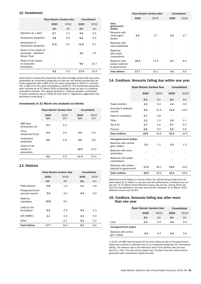### 12. Investment

|                                                               | <b>Royal Botanic Gardens Kew</b> |             |       | Consolidated |
|---------------------------------------------------------------|----------------------------------|-------------|-------|--------------|
|                                                               | 2020                             | 2019        | 2020  | 2019         |
|                                                               | £m                               | $\pounds$ m | £m    | $\pounds$ m  |
| Valuation at 1 April                                          | 0.7                              | 0.7         | 0.4   | 0.4          |
| Investment properties                                         | 5.6                              | 5.5         | 5.6   | 5.5          |
| Revaluation of<br>investment properties                       | (1.1)                            | 0.1         | (1.1) | 0.1          |
| Share of net assets of<br>associate - Bentham-<br>Moxon Trust |                                  |             | 3.0   | 2.6          |
| Share of net assets<br>of associate -<br>Foundation           |                                  |             | 9.5   | 10.7         |
|                                                               | 5.2                              | 6.3         | 17.4  | 19.3         |
|                                                               |                                  |             |       |              |

Investments includes five properties that were heritage assets that have been reclassified as investment properties as they are now being commercially let. Three properties with a NBV of £2.2m were reclassified in 2016-17, and two with a NBV of £1.9m were reclassified in 2018-19. The investment properties were revalued as at 31 March 2020 by Montagu Evans as part of a desktop revaluation exercise. The valuers declared a 'material valuation uncertainty' in these valuations due to COVID-19 (see Note 2 "Significant judgements and estimation uncertainty").

#### Investments at 31 March are analysed as follows:

|                                         | <b>Royal Botanic Gardens Kew</b> |            | Consolidated |                     |
|-----------------------------------------|----------------------------------|------------|--------------|---------------------|
|                                         | 2020<br>£m                       | 2019<br>£m | 2020<br>£m   | 2019<br>$\pounds$ m |
| <b>RBG Kew</b><br>Enterprises Ltd       | 0.3                              | 0.3        |              |                     |
| CCLA<br>Investment Fund                 | 0.4                              | 0.4        | 0.4          | 0.4                 |
| Investment<br>properties                | 4.5                              | 5.6        | 4.5          | 5.6                 |
| Share of net<br>assets of<br>associates |                                  |            | 12.5         | 13.3                |
|                                         | 5.2                              | 6.3        | 17.4         | 19.3                |

#### 13. Debtors

|                                   |              | Royal Botanic Gardens Kew | Consolidated |             |  |
|-----------------------------------|--------------|---------------------------|--------------|-------------|--|
|                                   | 2020<br>2019 |                           | 2020         | 2019        |  |
|                                   | £m           | $\pounds$ m               | £m           | $\pounds$ m |  |
| Trade debtors                     | 0.6          | 1.0                       | 1.1          | 1.8         |  |
| Prepayments and<br>accrued income | 3.0          | 4.2                       | 4.4          | 5.0         |  |
| Owed by<br>subsidiary             | 10.6         | 8.1                       |              | ٠           |  |
| Owed by the<br>Foundation         | 2.4          | 2.3                       | 2.4          | 2.3         |  |
| VAT (HMRC)                        | 1.1          | 0.4                       | 1.1          | 0.4         |  |
| Other                             |              | 0.1                       | 0.1          | 0.1         |  |
| <b>Total Debtors</b>              | 17.7         | 16.1                      | 9.1          | 9.6         |  |

|                                                          |      | Royal Botanic Gardens Kew | Consolidated |      |
|----------------------------------------------------------|------|---------------------------|--------------|------|
|                                                          | 2020 | 2019                      | 2020         | 2019 |
| Intra-<br>government<br>bodies:                          |      |                           |              |      |
| <b>Balances with</b><br>central govt.<br>bodies          | 2.4  | 2.7                       | 2.4          | 2.7  |
| <b>Balances with</b><br>local authorities                |      |                           |              |      |
| <b>Balances</b><br>with public<br>corporations           |      | ٠                         |              |      |
| <b>Balances with</b><br>bodies external<br>to government | 15.3 | 13.4                      | 6.7          | 6.9  |
| <b>Total debtors</b>                                     | 17.7 | 16.1                      | 9.1          | 9.6  |

#### 14. Creditors: Amounts falling due within one year

|                                                | Royal Botanic Gardens Kew |      |      | Consolidated |  |
|------------------------------------------------|---------------------------|------|------|--------------|--|
|                                                | 2020                      | 2019 | 2020 | 2019         |  |
|                                                | £m                        | f.m  | £m   | f.m          |  |
| Trade creditors                                | 1.3                       | 0.4  | 1.4  | 0.6          |  |
| Accruals & deferred<br>income                  | 9.5                       | 11.9 | 11.2 | 13.5         |  |
| Owed to subsidiary                             | 5.7                       | 4.8  |      |              |  |
| Other                                          | 1.1                       | 1.0  | 1.4  | 1.1          |  |
| Tax & NI                                       | 0.7                       | 0.6  | 0.7  | 0.7          |  |
| Pension                                        | 0.6                       | 0.5  | 0.6  | 0.6          |  |
| <b>Total creditors</b>                         | 18.9                      | 19.2 | 15.3 | 16.5         |  |
| Intra-government bodies:                       |                           |      |      |              |  |
| Balances with central<br>govt. bodies          | 1.3                       | 1.1  | 1.3  | 1.3          |  |
| <b>Balances with local</b><br>authorities      |                           |      |      |              |  |
| Balances with public<br>corporations           |                           |      |      |              |  |
| Balances with bodies<br>external to government | 17.6                      | 18.1 | 14.0 | 15.2         |  |
| <b>Total creditors</b>                         | 18.9                      | 19.2 | 15.3 | 16.5         |  |

Deferred income relates to income where the activity being funded has not taken place by 31 March in any year and the performance conditions are not yet met. At 31 March 2019 deferred income was £3.4m. During 2019–20 £10.0m was deferred in the year and £10.6m released. At 31 March 2020 deferred income was £2.8m.

#### 15. Creditors: Amounts falling due after more than one year

|                                       | <b>Royal Botanic Gardens Kew</b> | <b>Consolidated</b> |     |      |  |
|---------------------------------------|----------------------------------|---------------------|-----|------|--|
|                                       | 2020                             | 2019                |     | 2019 |  |
|                                       | £m                               | £m                  | £m  | £m   |  |
| Loan                                  | 0.4                              | 0.4                 | 0.4 | 0.4  |  |
| Intra-government bodies:              |                                  |                     |     |      |  |
| Balances with central<br>govt. bodies | 0.4                              | 0.4                 | 0.4 | 0.4  |  |

In 2015–16 RBG Kew borrowed £0.5m from Defra as part of the government voted loan scheme to refurbish two of its residential properties for commercial letting. The interest rate is the National Loans Fund interest rate and was fixed at 1.78%. The loan will be repaid over 12 years from the rental income generated with instalments repaid annually.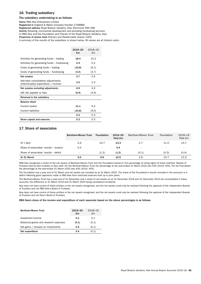# 16. Trading subsidiary

#### The subsidiary undertaking is as follows:

Name RBG Kew Enterprises Limited

Registered in England & Wales Company Number 2798886 Registered address Royal Botanic Gardens, Kew, Richmond TW9 3AB Activity Retailing, commercial development and providing fundraising services to RBG Kew and the Foundation and Friends of the Royal Botanic Gardens, Kew. Proportion of shares held Ordinary and Redeemable shares 100% A summary of the results of the subsidiary is shown below. All values are at historic costs.

|                                                                           | 2019-20<br>£m | 2018-19<br>$\pounds$ m |
|---------------------------------------------------------------------------|---------------|------------------------|
| Activities for generating funds – trading                                 | 18.4          | 15.2                   |
| Activities for generating funds – fundraising                             | 0.4           | 0.2                    |
| Costs of generating funds – trading                                       | (10.8)        | (9.1)                  |
| Costs of generating funds – fundraising                                   | (4.3)         | (3.7)                  |
| Net surplus                                                               | 3.7           | 2.6                    |
| Add back consolidation adjustments<br>(intercompany expenditure / income) | 3.2           | 2.3                    |
| Net surplus excluding adjustments                                         | 6.9           | 4.9                    |
| Gift Aid payable to Kew                                                   | (6.9)         | (4.9)                  |
| Retained in the subsidiary                                                |               |                        |
| <b>Balance sheet</b>                                                      |               |                        |
| Current assets                                                            | 11.1          | 9.3                    |
| <b>Current liabilities</b>                                                | (10.8)        | (9.0)                  |
|                                                                           | 0.3           | 0.3                    |
| Share capital and reserves                                                | 0.3           | 0.3                    |

# 17. Share of associates

|                                        | <b>Bentham-Moxon Trust</b> | <b>Foundation</b> | 2019-20<br>Total £m | Bentham-Moxon Trust | Foundation               | 2018-19<br>Total £m      |
|----------------------------------------|----------------------------|-------------------|---------------------|---------------------|--------------------------|--------------------------|
| At 1 April                             | 2.6                        | 10.7              | 13.3                | 2.7                 | 11.0                     | 13.7                     |
| Share of associates' results - surplus | 0.4                        |                   | 0.4                 |                     | $\overline{\phantom{a}}$ | $\overline{\phantom{a}}$ |
| Share of associates' results - deficit |                            | (1.2)             | (1.2)               | (0.1)               | (0.3)                    | (0.4)                    |
| At 31 March                            | 3.0                        | 9.5               | 12.5                | 2.6                 | 10.7                     | 13.3                     |

RGB Kew recognises a share of the net assets of Bentham-Moxon Trust and the Foundation based on the percentage of voting rights of these charities' Boards of Trustees held by Kew trustees or Kew staff. For the Bentham-Moxon Trust the percentage at the year-ended 31 March 2020 was 50% (2019: 50%). For the Foundation the percentage at the year-ended 31 March 2020 was 40% (2019: 40%).

The Foundation has a year end of 31 March and net assets are included as at 31 March 2020. The share of the Foundation's results included in the accounts is a deficit reflecting grant payments made to RBG Kew from restricted reserves built up in prior years.

The Bentham-Moxon Trust has a year end of 31 December, and a share of net assets as at 31 December 2018 and 31 December 2019 are consolidated in these accounts, the difference to 31 March 2019 and 31 March 2020 being considered immaterial.

Kew does not have control of these entities or the net assets recognised, and the net assets could only be realised following the approval of the independent Boards of Trustees and not RBG Kew's Board of Trustees.

Kew does not have control of these entities or the net assets recognised, and the net assets could only be realised following the approval of the independent Boards of Trustees and not Kew's Board of Trustees.

#### RBG Kew's share of the income and expenditure of each associate based on the above percentages is as follows:

| <b>Bentham-Moxon Trust</b>             | 2019-20<br>£m | 2018-19<br>$f_{\rm m}$ |
|----------------------------------------|---------------|------------------------|
| Investment income                      | 0.1           | 0.1                    |
| Botanical grants and research expenses | (0.1)         | (0.1)                  |
| Net gains / (losses) on investments    | 0.4           | (0.1)                  |
| Net expenditure                        | 0.4           | (0.1)                  |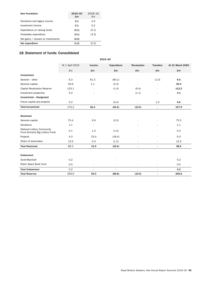| <b>Kew Foundation</b>              | 2019-20<br>£m | $2018 - 19$<br>£m |
|------------------------------------|---------------|-------------------|
| Donations and legacy income        | 2.1           | 2.9               |
| Investment income                  | 0.1           | 0.2               |
| Expenditure on raising funds       | (0.1)         | (0.1)             |
| Charitable expenditure             | (3.1)         | (3.3)             |
| Net gains / (losses on investments | (0.2)         | ٠                 |
| Net expenditure                    | (1.2)         | (0.3)             |
|                                    |               |                   |

# 18. Statement of funds: Consolidated

|                                                                | 2019-20         |                          |                |                    |                  |                  |
|----------------------------------------------------------------|-----------------|--------------------------|----------------|--------------------|------------------|------------------|
|                                                                | At 1 April 2019 | Income                   | Expenditure    | <b>Revaluation</b> | <b>Transfers</b> | At 31 March 2020 |
|                                                                | $\pounds$ m     | Em                       | £m             | £m                 | Em               | £m               |
| <b>Unrestricted</b>                                            |                 |                          |                |                    |                  |                  |
| General - other                                                | 6.3             | 61.3                     | (60.1)         | ٠                  | (1.0)            | 6.5              |
| General-capital                                                | 30.6            | 1.1                      | (2.3)          |                    |                  | 29.4             |
| <b>Capital Revaluation Reserve</b>                             | 123.1           |                          | (1.4)          | (9.4)              |                  | 112.3            |
| Investment properties                                          | 5.2             |                          |                | (1.1)              |                  | 4.1              |
| Unrestricted - Designated                                      |                 |                          |                |                    |                  |                  |
| Future capital and projects                                    | 5.0             | ä,                       | (0.4)          | ä,                 | 1.0              | 5.6              |
| <b>Total Unrestricted</b>                                      | 170.2           | 62.4                     | (64.2)         | (10.5)             | $\blacksquare$   | 157.9            |
|                                                                |                 |                          |                |                    |                  |                  |
| Restricted                                                     |                 |                          |                |                    |                  |                  |
| General-capital                                                | 70.4            | 6.9                      | (2.0)          |                    |                  | 75.3             |
| Donations                                                      | 1.1             | $\overline{\phantom{a}}$ |                |                    |                  | 1.1              |
| National Lottery Community<br>Fund (formerly Big Lottery Fund) | 0.1             | 1.2                      | (1.0)          | ä,                 |                  | 0.3              |
| Projects                                                       | 4.3             | 23.4                     | (18.4)         |                    |                  | 9.3              |
| Share of associates                                            | 13.3            | 0.4                      | (1.2)          |                    |                  | 12.5             |
| <b>Total Restricted</b>                                        | 89.2            | 31.9                     | (22.6)         | ÷,                 | $\blacksquare$   | 98.5             |
|                                                                |                 |                          |                |                    |                  |                  |
| Endowment                                                      |                 |                          |                |                    |                  |                  |
| Scott-Marshall                                                 | 0.2             |                          |                |                    |                  | 0.2              |
| Robin Spare Book Fund                                          | 0.0             | ٠                        |                |                    |                  | 0.0              |
| <b>Total Endowment</b>                                         | 0.2             | $\blacksquare$           | $\blacksquare$ | $\blacksquare$     | $\blacksquare$   | 0.2              |
| <b>Total Reserves</b>                                          | 259.6           | 94.3                     | (86.8)         | (10.5)             | $\blacksquare$   | 256.6            |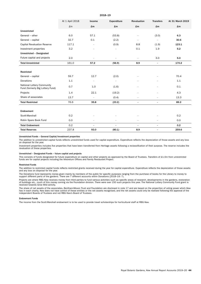#### 2018–19

|                                                                | At 1 April 2018 | Income               | Expenditure  | <b>Revaluation</b> | <b>Transfers</b> | At 31 March 2019 |
|----------------------------------------------------------------|-----------------|----------------------|--------------|--------------------|------------------|------------------|
|                                                                | $\pounds$ m     | Em                   | £m           | £m                 | £m               | £m               |
| <b>Unrestricted</b>                                            |                 |                      |              |                    |                  |                  |
| General - other                                                | 6.0             | 57.1                 | (53.8)       |                    | (3.0)            | 6.3              |
| General - capital                                              | 32.7            | 0.1                  | (2.2)        | $\sim$             |                  | 30.6             |
| <b>Capital Revaluation Reserve</b>                             | 117.1           |                      | (0.9)        | 8.8                | (1.9)            | 123.1            |
| Investment properties                                          | 3.2             |                      |              | 0.1                | 1.9              | 5.2              |
| <b>Unrestricted - Designated</b>                               |                 |                      |              |                    |                  |                  |
| Future capital and projects                                    | 2.0             |                      |              | $\sim$             | 3.0              | 5.0              |
| <b>Total Unrestricted</b>                                      | 161.0           | 57.2                 | (56.9)       | 8.9                | $\blacksquare$   | 170.2            |
|                                                                |                 |                      |              |                    |                  |                  |
| <b>Restricted</b>                                              |                 |                      |              |                    |                  |                  |
| General - capital                                              | 59.7            | 12.7                 | (2.0)        |                    |                  | 70.4             |
| Donations                                                      | 1.1             | ä,                   |              |                    |                  | 1.1              |
| National Lottery Community<br>Fund (formerly Big Lottery Fund) | 0.7             | 1.0                  | (1.6)        |                    |                  | 0.1              |
| Projects                                                       | 1.4             | 22.1                 | (19.2)       |                    |                  | 4.3              |
| Share of associates                                            | 13.7            | ä,                   | (0.4)        |                    |                  | 13.3             |
| <b>Total Restricted</b>                                        | 76.6            | 35.8                 | (23.2)       | ÷.                 |                  | 89.2             |
|                                                                |                 |                      |              |                    |                  |                  |
| Endowment                                                      |                 |                      |              |                    |                  |                  |
| Scott-Marshall                                                 | 0.2             |                      |              |                    |                  | 0.2              |
| Robin Spare Book Fund                                          | 0.0             | $\ddot{\phantom{1}}$ |              |                    |                  | 0.0              |
| <b>Total Endowment</b>                                         | 0.2             | $\blacksquare$       | $\mathbf{r}$ | $\blacksquare$     | $\blacksquare$   | 0.2              |
| <b>Total Reserves</b>                                          | 237.8           | 93.0                 | (80.1)       | 8.9                | ÷                | 259.6            |

#### Unrestricted Funds – General Capital/Investment properties

The addition to unrestricted capital funds reflects unrestricted funds used for capital expenditure. Expenditure reflects the depreciation of those assets and any loss on disposal for the year.

Investment properties includes five properties that have been transferred from Heritage assets following a reclassification of their purpose. The reserve includes the revaluation of these properties.

#### Unrestricted – Designated Funds – future capital and projects

This consists of funds designated for future expenditure on capital and other projects as approved by the Board of Trustees. Transfers of £1.0m from unrestricted funds are for capital projects including the Arboretum Offices and Family Restaurant Project.

#### Restricted Funds

The addition to restricted capital funds reflects restricted grants received during the year for capital expenditure. Expenditure reflects the depreciation of those assets and any loss on disposal for the year.

The Donations fund represents money given mainly by members of the public for specific purposes ranging from the purchase of books for the Library to money to<br>support different parts of the gardens. There are 7 different a

Projects are where RBG Kew receives money from third parties to fund various activities such as specific areas of research, developments in the gardens, restoration<br>of buildings etc., much of this money coming via the Foun

The share of net assets of the associates, Bentham-Moxon Trust and Foundation are disclosed in note 17 and are based on the proportion of voting power which Kew has in each charity. Kew does not have control of these entities or the net assets recognised, and the net assets could only be realised following the approval of the independent Boards of Trustees and not RBG Kew's Board of Trustees.

#### Endowment Funds

The income from the Scott-Marshall endowment is to be used to provide travel scholarships for horticultural staff at RBG Kew.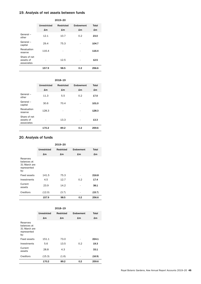# 19. Analysis of net assets between funds

|                                         | 2019-20             |                   |           |       |  |
|-----------------------------------------|---------------------|-------------------|-----------|-------|--|
|                                         | <b>Unrestricted</b> | <b>Restricted</b> | Endowment | Total |  |
|                                         | £m                  | £m                | £m        | £m    |  |
| General-<br>other                       | 12.1                | 10.7              | 0.2       | 23.0  |  |
| General-<br>capital                     | 29.4                | 75.3              |           | 104.7 |  |
| Revaluation<br>reserve                  | 116.4               | ٠                 |           | 116.4 |  |
| Share of net<br>assets of<br>associates |                     | 12.5              |           | 12.5  |  |
|                                         | 157.9               | 98.5              | 0.2       | 256.6 |  |

#### 2018–19

|                                         | Unrestricted<br>£m | <b>Restricted</b><br>£m | Endowment<br>£m | <b>Total</b><br>£m |
|-----------------------------------------|--------------------|-------------------------|-----------------|--------------------|
| General -<br>other                      | 11.3               | 5.5                     | 0.2             | 17.0               |
| General -<br>capital                    | 30.6               | 70.4                    |                 | 101.0              |
| Revaluation<br>reserve                  | 128.3              |                         |                 | 128.3              |
| Share of net<br>assets of<br>associates |                    | 13.3                    |                 | 13.3               |
|                                         | 170.2              | 89.2                    | 0.2             | 259.6              |

# 20. Analysis of funds

|                                                               | 2019-20             |                   |           |              |  |
|---------------------------------------------------------------|---------------------|-------------------|-----------|--------------|--|
|                                                               | <b>Unrestricted</b> | <b>Restricted</b> | Endowment | <b>Total</b> |  |
|                                                               | £m                  | £m                | £m        | £m           |  |
| Reserves<br>balances at<br>31 March are<br>represented<br>by: |                     |                   |           |              |  |
| <b>Fixed assets</b>                                           | 141.5               | 75.3              | ٠         | 216.8        |  |
| Investments                                                   | 4.5                 | 12.7              | 0.2       | 17.4         |  |
| Current<br>assets                                             | 23.9                | 14.2              | ٠         | 38.1         |  |
| Creditors                                                     | (12.0)              | (3.7)             | ٠         | (15.7)       |  |
|                                                               | 157.9               | 98.5              | 0.2       | 256.6        |  |

|                                                               | <b>Unrestricted</b> | <b>Restricted</b> | Endowment | <b>Total</b> |
|---------------------------------------------------------------|---------------------|-------------------|-----------|--------------|
|                                                               | £m                  | £m                | £m        | £m           |
| Reserves<br>balances at<br>31 March are<br>represented<br>by: |                     |                   |           |              |
| <b>Fixed assets</b>                                           | 151.1               | 73.0              | ٠         | 224.1        |
| Investments                                                   | 5.6                 | 13.5              | 0.2       | 19.3         |
| Current<br>assets                                             | 28.8                | 4.3               | ٠         | 33.1         |
| Creditors                                                     | (15.3)              | (1.6)             | -         | (16.9)       |
|                                                               | 170.2               | 89.2              | 0.2       | 259.6        |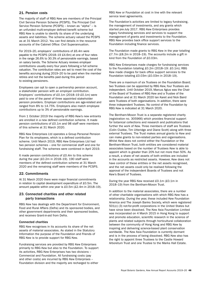# 21. Pension costs

The majority of staff of RBG Kew are members of the Principal Civil Service Pension Scheme (PCSPS). The Principal Civil Service Pension Scheme (PCSPS) – known as "alpha" – is an unfunded multi-employer defined benefit scheme but RBG Kew is unable to identify its share of the underlying assets and liabilities. The scheme actuary valued the PCSPS as at 31 March 2012. You can find details in the resource accounts of the Cabinet Office: Civil Superannuation.

For 2019–20, employers' contributions of £6.4m were payable to the PCSPS (2018–19 £4.6m) at one of four rates in the range 26.6% to 30.3% of pensionable earnings, based on salary bands. The Scheme Actuary reviews employer contributions usually every four years following a full scheme valuation. The contribution rates are set to meet the cost of the benefits accruing during 2019–20 to be paid when the member retires and not the benefits paid during this period to existing pensioners.

Employees can opt to open a partnership pension account, a stakeholder pension with an employer contribution. Employers' contributions of £0.1m (2018–19 £0.1m) were paid to one of the panel of three appointed stakeholder pension providers. Employer contributions are age-related and ranged from 8% to 14.75%. Employers also match employee contributions up to 3% of pensionable earnings.

From 1 October 2019 the majority of RBG Kew's new entrants are enrolled in a new defined contribution scheme. It made pension contributions of £0.1m and 98 staff were members of this scheme at 31 March 2020.

RBG Kew Enterprises Ltd operates a Group Personal Pension Plan for its employees, which is a defined contribution scheme. Until March 2019, RBG Kew Enterprises Ltd had two pension schemes – one for commercial staff and one for fundraising staff. The schemes were combined in April 2019.

It made pension contributions of £0.4m to this scheme during the year (£0.2m in 2018–19). 190 staff were members of the defined contribution scheme at 31 March 2020 and the remaining staff were members of the PCSPS.

# 22. Commitments

At 31 March 2020 there were major financial commitments in relation to capital development expenditure of £0.5m. The amount payable within one year is £0.5m (£2.4m in 2018–19).

# 23. Connected charities and other related party transactions

RBG Kew has dealings with the Department for Environment, Food and Rural Affairs (Defra) and its sponsored bodies, and other government departments and their sponsored bodies, and receives Grant-in-aid from Defra.

#### Connected charities

RBG Kew recognises in its accounts its share of the net assets of material associates. As stated in the Statutory Information the purpose of the Foundation and Friends of RBG Kew is to provide support for RBG Kew.

Fundraising services are provided by RBG Kew Enterprises primarily to RBG Kew but also to the Foundation. To support its activities, RBG Kew Enterprises has two divisions – Commercial and Foundation. All fundraising costs (pay and other costs) are incurred by RBG Kew Enterprises – Foundation division and the majority are recharged to either

RBG Kew or Foundation at cost in line with the relevant service level agreements.

The Foundation's activities are limited to legacy fundraising, the management of investments, and any grants which started pre-July 2017. RBG Kew Enterprises provides legacy fundraising services and services to support the management of grants and investments to the Foundation. RBG Kew provides back office support services to the Foundation including finance services.

The Foundation made grants to RBG Kew in the year totalling £7.7m (£8.2m in 2018–19). The accounts include a gift in kind from the Foundation of £0.03m.

RBG Kew Enterprises made charges for fundraising services to the Foundation totalling £0.2m (2018–19: £0.1m); RBG Kew made charges for back office support services to the Foundation totalling £0.03m (£0.03m in 2018–19).

There are a maximum of six Trustees on the Foundation Board; two Trustees can be appointed by RBG Kew, four Trustees are independent. Until October 2019, Marcus Agius was the Chair of the Board of Trustees of RBG Kew and a Trustee of the Foundation and at 31 March 2020 Ian Karet and Nick Baird were Trustees of both organisations. In addition, there were three independent Trustees. No control of the Foundation by RBG Kew is indicated at 31 March 2020.

The Bentham-Moxon Trust is a separate registered charity (registration no. 305966) which provides financial support for botanical collections and research and publications that further the work of Kew. Three members of staff are Trustees (Colin Clubbe, Tim Utteridge and Diane Scott) along with three external Trustees. The Trust makes annual grants to Kew and can make grants to non-related parties and organisations. Whilst Kew does not control either the Foundation or the Bentham-Moxon Trust, both entities are considered material associates based on the number of Trustees Kew is able to appoint which is greater than 20% but not more than 50%. As a result, a share of net assets of both entities are included in the accounts as restricted assets. However, Kew does not have control of these entities or the net assets recognised, and the net assets could only be realised following the approval of the independent Boards of Trustees and not Kew's Board of Trustees.

During the year RBG Kew received £0.1m (£0.1m in 2018–19) from the Bentham-Moxon Trust.

In addition to the material associates, there are a number of other charitable organisations with which RBG Kew has a relationship. During the year, these included Kew Foundation America and The Joseph Banks Society, which were registered 501(c) (3) not-for-profit corporations in the United States but have since been dissolved. The Kew Asia Foundation Limited was incorporated on 4 March 2015 in Hong Kong to support and promote education, scientific research in the science of plants and related subjects through horticultural collaboration between the community of Hong Kong and RBG Kew by inspiring and delivering science-based plant conservation worldwide. The Kew Asia Foundation is currently dormant and is in the process of being dissolved. RBG Kew also has the right to appoint three Trustees to the Castle Howard Arboretum Trust and one Trustee to the Marks Hall Estate.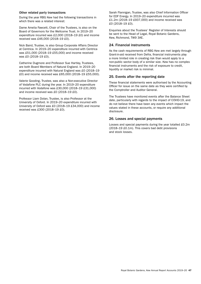#### Other related party transactions

During the year RBG Kew had the following transactions in which there was a related interest:

Dame Amelia Fawcett, Chair of the Trustees, is also on the Board of Governors for the Wellcome Trust. In 2019–20 expenditure incurred was £2,000 (2018–19 £0) and income received was £46,000 (2018–19 £0).

Nick Baird, Trustee, is also Group Corporate Affairs Director at Centrica. In 2019–20 expenditure incurred with Centrica was £51,000 (2018–19 £55,000) and income received was £0 (2018–19 £0).

Catherine Dugmore and Professor Sue Hartley, Trustees, are both Board Members of Natural England. In 2019–20 expenditure incurred with Natural England was £0 (2018–19 £0) and income received was £65,000 (2018–19 £55,000).

Valerie Gooding, Trustee, was also a Non-executive Director of Vodafone PLC during the year. In 2019–20 expenditure incurred with Vodafone was £30,000 (2018–19 £31,000) and income received was £0 (2018–19 £0).

Professor Liam Dolan, Trustee, is also Professor at the University of Oxford. In 2019–20 expenditure incurred with University of Oxford was £0 (2018–19 £34,000) and income received was £300 (2018–19 £0).

Sarah Flannigan, Trustee, was also Chief Information Officer for EDF Energy. In 2019–20 expenditure incurred was £1.2m (2018–19 £937,000) and income received was £0 (2018–19 £0).

Enquiries about the Trustees' Register of Interests should be sent to the Head of Legal, Royal Botanic Gardens, Kew, Richmond, TW9 3AE.

# 24. Financial instruments

As the cash requirements of RBG Kew are met largely through Grant-in-aid received from Defra, financial instruments play a more limited role in creating risk than would apply to a non-public sector body of a similar size. Kew has no complex financial instruments and the risk of exposure to credit, liquidity or market risk is minimal.

# 25. Events after the reporting date

These financial statements were authorised by the Accounting Officer for issue on the same date as they were certified by the Comptroller and Auditor General.

The Trustees have monitored events after the Balance Sheet date, particularly with regards to the impact of COVID-19, and do not believe there have been any events which impact the values stated in these accounts, or require any additional disclosure.

# 26. Losses and special payments

Losses and special payments during the year totalled £0.2m (2018–19 £0.1m). This covers bad debt provisions and stock losses.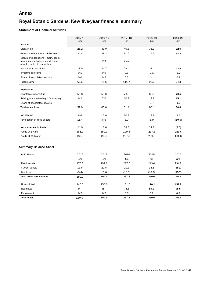# <span id="page-49-0"></span>Annex

# Royal Botanic Gardens, Kew five-year financial summary

# Statement of Financial Activities

|                                                                                                       | 2015-16<br>£m | 2016-17<br>£m | $2017 - 18$<br>£m | 2018-19<br>£m | 2019-20<br>£m  |
|-------------------------------------------------------------------------------------------------------|---------------|---------------|-------------------|---------------|----------------|
| Income                                                                                                |               |               |                   |               |                |
| Grant-in-aid                                                                                          | 26.2          | 33.0          | 40.8              | 36.3          | 32.0           |
| Grants and donations - RBG Kew                                                                        | 20.8          | 23.2          | 31.2              | 19.5          | 18.8           |
| Grants and donations - Gain/(loss)<br>from increased/(decreased) share<br>of net assets of associates |               | 0.5           | 11.0              |               | $\blacksquare$ |
| Income from activities                                                                                | 18.5          | 21.7          | 28.4              | 37.1          | 42.9           |
| Investment income                                                                                     | 0.1           | 0.0           | 0.1               | 0.1           | 0.2            |
| Share of associates' results                                                                          | 0.0           | 0.2           | 0.2               | $\sim$        | 0.4            |
| <b>Total income</b>                                                                                   | 65.6          | 78.6          | 111.7             | 93.0          | 94.3           |
| Expenditure                                                                                           |               |               |                   |               |                |
| Charitable expenditure                                                                                | 50.8          | 59.6          | 70.5              | 66.9          | 70.5           |
| Raising funds - trading / fundraising                                                                 | 6.2           | 7.0           | 10.9              | 12.8          | 15.1           |
| Share of associates' results                                                                          | ä,            | ÷,            | $\blacksquare$    | 0.4           | 1.2            |
| <b>Total expenditure</b>                                                                              | 57.0          | 66.6          | 81.4              | 80.1          | 86.8           |
|                                                                                                       |               |               |                   |               |                |
| Net income                                                                                            | 8.6           | 12.0          | 30.3              | 12.9          | 7.5            |
| Revaluation of fixed assets                                                                           | 15.4          | 6.6           | 8.0               | 8.9           | (10.5)         |
| Net movement in funds                                                                                 | 24.0          | 18.6          | 38.3              | 21.8          | (3.0)          |
| Funds at 1 April                                                                                      | 156.9         | 180.9         | 199.5             | 237.8         | 259.6          |
| Funds at 31 March                                                                                     | 180.9         | 199.5         | 237.8             | 259.6         | 256.6          |
| <b>Summary Balance Sheet</b>                                                                          |               |               |                   |               |                |
| At 31 March                                                                                           | 2016          | 2017          | 2018              | 2019          | 2020           |
|                                                                                                       | £m            | £m            | £m                | £m            | £m             |
| <b>Fixed assets</b>                                                                                   | 176.8         | 192.6         | 227.0             | 243.4         | 234.2          |
| <b>Current assets</b>                                                                                 | 13.5          | 20.5          | 29.3              | 33.1          | 38.1           |
| Creditors                                                                                             | (9.4)         | (13.6)        | (18.5)            | (16.9)        | (15.7)         |
| <b>Total assets less liabilities</b>                                                                  | 180.9         | 199.5         | 237.8             | 259.6         | 256.6          |
| Unrestricted                                                                                          | 146.0         | 153.6         | 161.0             | 170.2         | 157.9          |
| Restricted                                                                                            | 34.7          | 45.7          | 76.6              | 89.2          | 98.5           |

Endowment 0.2 0.2 0.2 0.2 0.2 Total funds 180.9 199.5 237.8 259.6 256.6